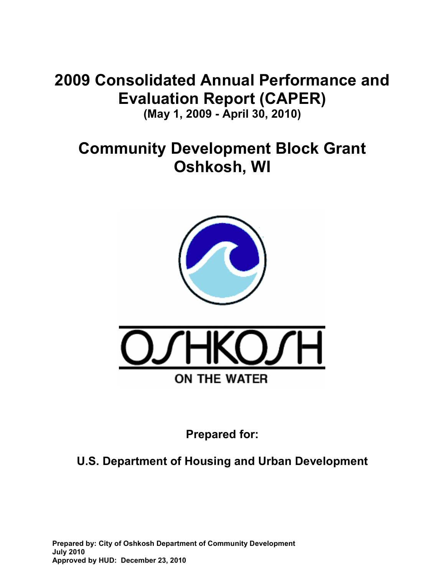# **2009 Consolidated Annual Performance and Evaluation Report (CAPER) (May 1, 2009 - April 30, 2010)**

# **Community Development Block Grant Oshkosh, WI**



**Prepared for:** 

# **U.S. Department of Housing and Urban Development**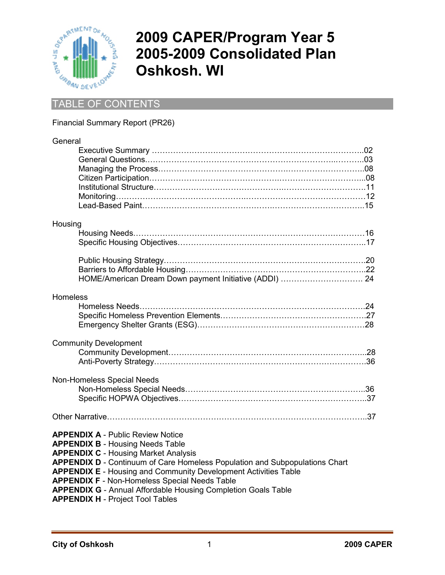

# **2009 CAPER/Program Year 5 2005-2009 Consolidated Plan Oshkosh, WI**

## TABLE OF CONTENTS

### Financial Summary Report (PR26)

| Housing<br>Homeless<br><b>Community Development</b><br><b>Non-Homeless Special Needs</b>                        |
|-----------------------------------------------------------------------------------------------------------------|
|                                                                                                                 |
|                                                                                                                 |
|                                                                                                                 |
|                                                                                                                 |
|                                                                                                                 |
|                                                                                                                 |
|                                                                                                                 |
|                                                                                                                 |
|                                                                                                                 |
|                                                                                                                 |
|                                                                                                                 |
|                                                                                                                 |
|                                                                                                                 |
|                                                                                                                 |
|                                                                                                                 |
|                                                                                                                 |
|                                                                                                                 |
|                                                                                                                 |
|                                                                                                                 |
|                                                                                                                 |
|                                                                                                                 |
|                                                                                                                 |
|                                                                                                                 |
|                                                                                                                 |
|                                                                                                                 |
|                                                                                                                 |
|                                                                                                                 |
|                                                                                                                 |
| <b>APPENDIX A - Public Review Notice</b>                                                                        |
| <b>APPENDIX B - Housing Needs Table</b>                                                                         |
| <b>APPENDIX C - Housing Market Analysis</b>                                                                     |
| APPENDIX D - Continuum of Care Homeless Population and Subpopulations Chart                                     |
| <b>APPENDIX E</b> - Housing and Community Development Activities Table                                          |
| <b>APPENDIX F - Non-Homeless Special Needs Table</b>                                                            |
|                                                                                                                 |
| <b>APPENDIX G</b> - Annual Affordable Housing Completion Goals Table<br><b>APPENDIX H - Project Tool Tables</b> |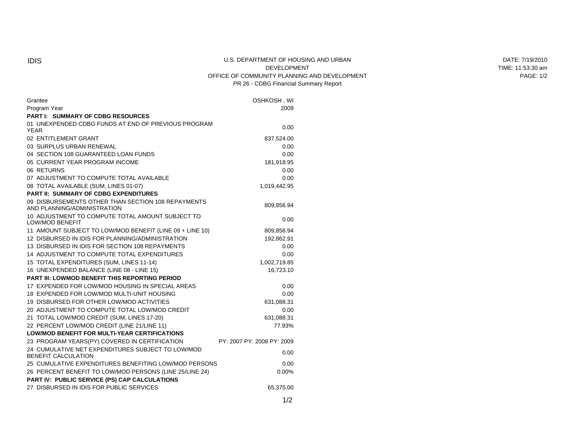#### IDIS U.S. DEPARTMENT OF HOUSING AND URBAN DEVELOPMENT OFFICE OF COMMUNITY PLANNING AND DEVELOPMENT PR 26 - CDBG Financial Summary Report

| Grantee<br>Program Year                                                           | OSHKOSH, WI<br>2009        |
|-----------------------------------------------------------------------------------|----------------------------|
| <b>PART I: SUMMARY OF CDBG RESOURCES</b>                                          |                            |
| 01 UNEXPENDED CDBG FUNDS AT END OF PREVIOUS PROGRAM                               |                            |
| <b>YEAR</b>                                                                       | 0.00                       |
| 02 ENTITLEMENT GRANT                                                              | 837,524.00                 |
| 03 SURPLUS URBAN RENEWAL                                                          | 0.00                       |
| 04 SECTION 108 GUARANTEED LOAN FUNDS                                              | 0.00                       |
| 05 CURRENT YEAR PROGRAM INCOME                                                    | 181,918.95                 |
| 06 RETURNS                                                                        | 0.00                       |
| 07 ADJUSTMENT TO COMPUTE TOTAL AVAILABLE                                          | 0.00                       |
| 08 TOTAL AVAILABLE (SUM, LINES 01-07)                                             | 1,019,442.95               |
| <b>PART II: SUMMARY OF CDBG EXPENDITURES</b>                                      |                            |
| 09 DISBURSEMENTS OTHER THAN SECTION 108 REPAYMENTS<br>AND PLANNING/ADMINISTRATION | 809,856.94                 |
| 10 ADJUSTMENT TO COMPUTE TOTAL AMOUNT SUBJECT TO<br><b>LOW/MOD BENEFIT</b>        | 0.00                       |
| 11 AMOUNT SUBJECT TO LOW/MOD BENEFIT (LINE 09 + LINE 10)                          | 809,856.94                 |
| 12 DISBURSED IN IDIS FOR PLANNING/ADMINISTRATION                                  | 192,862.91                 |
| 13 DISBURSED IN IDIS FOR SECTION 108 REPAYMENTS                                   | 0.00                       |
| 14 ADJUSTMENT TO COMPUTE TOTAL EXPENDITURES                                       | 0.00                       |
| 15 TOTAL EXPENDITURES (SUM, LINES 11-14)                                          | 1,002,719.85               |
| 16 UNEXPENDED BALANCE (LINE 08 - LINE 15)                                         | 16,723.10                  |
| <b>PART III: LOWMOD BENEFIT THIS REPORTING PERIOD</b>                             |                            |
| 17 EXPENDED FOR LOW/MOD HOUSING IN SPECIAL AREAS                                  | 0.00                       |
| 18 EXPENDED FOR LOW/MOD MULTI-UNIT HOUSING                                        | 0.00                       |
| 19 DISBURSED FOR OTHER LOW/MOD ACTIVITIES                                         | 631,088.31                 |
| 20 ADJUSTMENT TO COMPUTE TOTAL LOW/MOD CREDIT                                     | 0.00                       |
| 21 TOTAL LOW/MOD CREDIT (SUM, LINES 17-20)                                        | 631,088.31                 |
| 22 PERCENT LOW/MOD CREDIT (LINE 21/LINE 11)                                       | 77.93%                     |
| <b>LOW/MOD BENEFIT FOR MULTI-YEAR CERTIFICATIONS</b>                              |                            |
| 23 PROGRAM YEARS(PY) COVERED IN CERTIFICATION                                     | PY: 2007 PY: 2008 PY: 2009 |
| 24 CUMULATIVE NET EXPENDITURES SUBJECT TO LOW/MOD<br>BENEFIT CALCULATION          | 0.00                       |
| 25 CUMULATIVE EXPENDITURES BENEFITING LOW/MOD PERSONS                             | 0.00                       |
| 26 PERCENT BENEFIT TO LOW/MOD PERSONS (LINE 25/LINE 24)                           | 0.00%                      |
| PART IV: PUBLIC SERVICE (PS) CAP CALCULATIONS                                     |                            |
| 27 DISBURSED IN IDIS FOR PUBLIC SERVICES                                          | 65,375.00                  |

DATE: 7/19/2010 TIME: 11:53:30 am PAGE: 1/2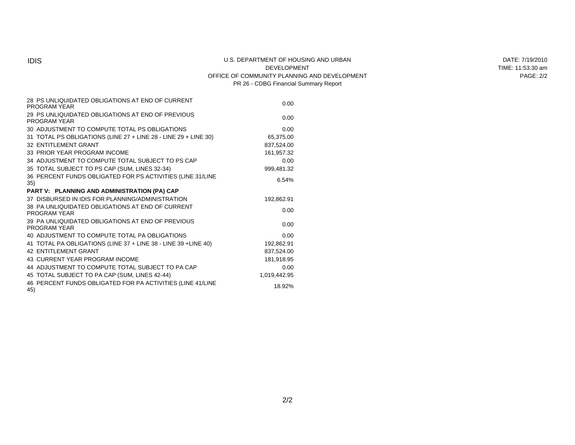#### IDIS U.S. DEPARTMENT OF HOUSING AND URBAN DEVELOPMENT OFFICE OF COMMUNITY PLANNING AND DEVELOPMENT PR 26 - CDBG Financial Summary Report

| 28 PS UNLIQUIDATED OBLIGATIONS AT END OF CURRENT<br>PROGRAM YEAR        | 0.00         |
|-------------------------------------------------------------------------|--------------|
| 29 PS UNLIQUIDATED OBLIGATIONS AT END OF PREVIOUS<br>PROGRAM YEAR       | 0.00         |
| 30 ADJUSTMENT TO COMPUTE TOTAL PS OBLIGATIONS                           | 0.00         |
| 31 TOTAL PS OBLIGATIONS (LINE 27 + LINE 28 - LINE 29 + LINE 30)         | 65,375.00    |
| 32 ENTITLEMENT GRANT                                                    | 837,524.00   |
| 33 PRIOR YEAR PROGRAM INCOME                                            | 161,957.32   |
| 34 ADJUSTMENT TO COMPUTE TOTAL SUBJECT TO PS CAP                        | 0.00         |
| 35 TOTAL SUBJECT TO PS CAP (SUM, LINES 32-34)                           | 999,481.32   |
| 36 PERCENT FUNDS OBLIGATED FOR PS ACTIVITIES (LINE 31/LINE<br>35)       | 6.54%        |
| PART V: PLANNING AND ADMINISTRATION (PA) CAP                            |              |
| 37 DISBURSED IN IDIS FOR PLANNING/ADMINISTRATION                        | 192,862.91   |
| 38 PA UNLIQUIDATED OBLIGATIONS AT END OF CURRENT<br><b>PROGRAM YEAR</b> | 0.00         |
| 39 PA UNLIQUIDATED OBLIGATIONS AT END OF PREVIOUS<br>PROGRAM YEAR       | 0.00         |
| 40 ADJUSTMENT TO COMPUTE TOTAL PA OBLIGATIONS                           | 0.00         |
| 41 TOTAL PA OBLIGATIONS (LINE 37 + LINE 38 - LINE 39 + LINE 40)         | 192,862.91   |
| <b>42 ENTITLEMENT GRANT</b>                                             | 837,524.00   |
| 43 CURRENT YEAR PROGRAM INCOME                                          | 181,918.95   |
| 44 ADJUSTMENT TO COMPUTE TOTAL SUBJECT TO PA CAP                        | 0.00         |
| 45 TOTAL SUBJECT TO PA CAP (SUM, LINES 42-44)                           | 1,019,442.95 |
| 46 PERCENT FUNDS OBLIGATED FOR PA ACTIVITIES (LINE 41/LINE<br>45)       | 18.92%       |

DATE: 7/19/2010 TIME: 11:53:30 am PAGE: 2/2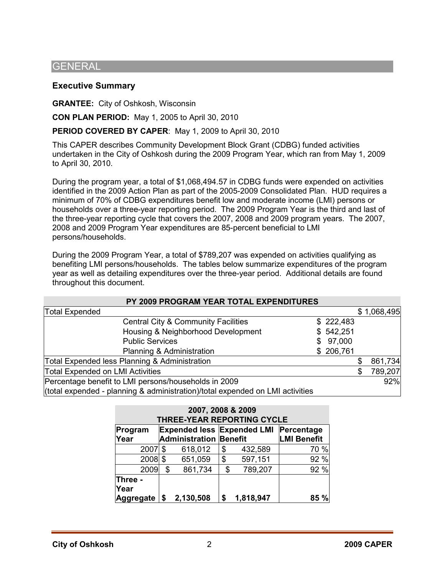### **GENERAL**

### **Executive Summary**

**GRANTEE:** City of Oshkosh, Wisconsin

**CON PLAN PERIOD:** May 1, 2005 to April 30, 2010

**PERIOD COVERED BY CAPER**: May 1, 2009 to April 30, 2010

This CAPER describes Community Development Block Grant (CDBG) funded activities undertaken in the City of Oshkosh during the 2009 Program Year, which ran from May 1, 2009 to April 30, 2010.

During the program year, a total of \$1,068,494.57 in CDBG funds were expended on activities identified in the 2009 Action Plan as part of the 2005-2009 Consolidated Plan. HUD requires a minimum of 70% of CDBG expenditures benefit low and moderate income (LMI) persons or households over a three-year reporting period. The 2009 Program Year is the third and last of the three-year reporting cycle that covers the 2007, 2008 and 2009 program years. The 2007, 2008 and 2009 Program Year expenditures are 85-percent beneficial to LMI persons/households.

During the 2009 Program Year, a total of \$789,207 was expended on activities qualifying as benefiting LMI persons/households. The tables below summarize expenditures of the program year as well as detailing expenditures over the three-year period. Additional details are found throughout this document.

| PY 2009 PROGRAM YEAR TOTAL EXPENDITURES                                       |  |           |    |             |  |  |  |
|-------------------------------------------------------------------------------|--|-----------|----|-------------|--|--|--|
| <b>Total Expended</b>                                                         |  |           |    | \$1,068,495 |  |  |  |
| <b>Central City &amp; Community Facilities</b>                                |  | \$222,483 |    |             |  |  |  |
| Housing & Neighborhood Development                                            |  | \$542,251 |    |             |  |  |  |
| <b>Public Services</b>                                                        |  | \$97,000  |    |             |  |  |  |
| Planning & Administration                                                     |  | \$206,761 |    |             |  |  |  |
| Total Expended less Planning & Administration                                 |  |           |    | 861,734     |  |  |  |
| Total Expended on LMI Activities                                              |  |           | \$ | 789,207     |  |  |  |
| Percentage benefit to LMI persons/households in 2009                          |  |           |    | 92%         |  |  |  |
| (total expended - planning & administration)/total expended on LMI activities |  |           |    |             |  |  |  |

| 2007, 2008 & 2009<br><b>THREE-YEAR REPORTING CYCLE</b>                                           |           |    |           |    |                    |      |  |  |
|--------------------------------------------------------------------------------------------------|-----------|----|-----------|----|--------------------|------|--|--|
| <b>Expended less Expended LMI Percentage</b><br>Program<br><b>Administration Benefit</b><br>Year |           |    |           |    | <b>LMI Benefit</b> |      |  |  |
|                                                                                                  | 2007      | \$ | 618,012   | \$ | 432,589            | 70 % |  |  |
|                                                                                                  | $2008$ \$ |    | 651,059   | \$ | 597,151            | 92 % |  |  |
|                                                                                                  | 2009      | \$ | 861,734   | \$ | 789,207            | 92 % |  |  |
| Three -<br>Year<br>Aggregate   \$                                                                |           |    | 2,130,508 | \$ | 1,818,947          | 85   |  |  |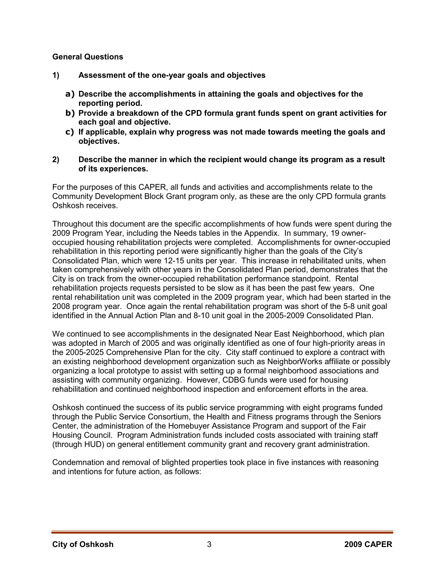### **General Questions**

- **1) Assessment of the one-year goals and objectives** 
	- **a) Describe the accomplishments in attaining the goals and objectives for the reporting period.**
	- **b) Provide a breakdown of the CPD formula grant funds spent on grant activities for each goal and objective.**
	- **c) If applicable, explain why progress was not made towards meeting the goals and objectives.**
- **2) Describe the manner in which the recipient would change its program as a result of its experiences.**

For the purposes of this CAPER, all funds and activities and accomplishments relate to the Community Development Block Grant program only, as these are the only CPD formula grants Oshkosh receives.

Throughout this document are the specific accomplishments of how funds were spent during the 2009 Program Year, including the Needs tables in the Appendix. In summary, 19 owneroccupied housing rehabilitation projects were completed. Accomplishments for owner-occupied rehabilitation in this reporting period were significantly higher than the goals of the City's Consolidated Plan, which were 12-15 units per year. This increase in rehabilitated units, when taken comprehensively with other years in the Consolidated Plan period, demonstrates that the City is on track from the owner-occupied rehabilitation performance standpoint. Rental rehabilitation projects requests persisted to be slow as it has been the past few years. One rental rehabilitation unit was completed in the 2009 program year, which had been started in the 2008 program year. Once again the rental rehabilitation program was short of the 5-8 unit goal identified in the Annual Action Plan and 8-10 unit goal in the 2005-2009 Consolidated Plan.

We continued to see accomplishments in the designated Near East Neighborhood, which plan was adopted in March of 2005 and was originally identified as one of four high-priority areas in the 2005-2025 Comprehensive Plan for the city. City staff continued to explore a contract with an existing neighborhood development organization such as NeighborWorks affiliate or possibly organizing a local prototype to assist with setting up a formal neighborhood associations and assisting with community organizing. However, CDBG funds were used for housing rehabilitation and continued neighborhood inspection and enforcement efforts in the area.

Oshkosh continued the success of its public service programming with eight programs funded through the Public Service Consortium, the Health and Fitness programs through the Seniors Center, the administration of the Homebuyer Assistance Program and support of the Fair Housing Council. Program Administration funds included costs associated with training staff (through HUD) on general entitlement community grant and recovery grant administration.

Condemnation and removal of blighted properties took place in five instances with reasoning and intentions for future action, as follows: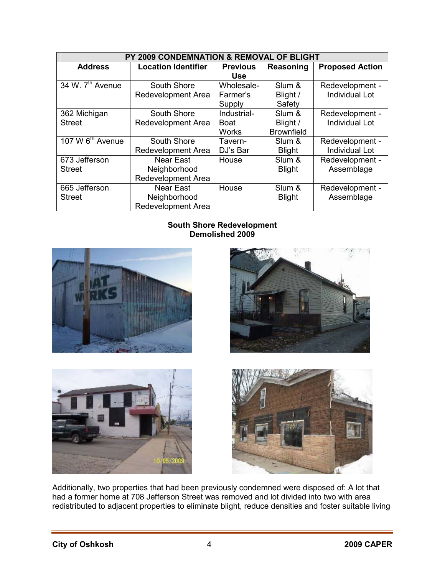| PY 2009 CONDEMNATION & REMOVAL OF BLIGHT |                            |                 |                   |                        |  |  |  |
|------------------------------------------|----------------------------|-----------------|-------------------|------------------------|--|--|--|
| <b>Address</b>                           | <b>Location Identifier</b> | <b>Previous</b> | <b>Reasoning</b>  | <b>Proposed Action</b> |  |  |  |
|                                          |                            | <b>Use</b>      |                   |                        |  |  |  |
| 34 W. 7 <sup>th</sup> Avenue             | South Shore                | Wholesale-      | Slum &            | Redevelopment -        |  |  |  |
|                                          | Redevelopment Area         | Farmer's        | Blight /          | <b>Individual Lot</b>  |  |  |  |
|                                          |                            | Supply          | Safety            |                        |  |  |  |
| 362 Michigan                             | South Shore                | Industrial-     | Slum &            | Redevelopment -        |  |  |  |
| <b>Street</b>                            | Redevelopment Area         | <b>Boat</b>     | Blight /          | <b>Individual Lot</b>  |  |  |  |
|                                          |                            | <b>Works</b>    | <b>Brownfield</b> |                        |  |  |  |
| 107 W 6 <sup>th</sup> Avenue             | South Shore                | Tavern-         | Slum &            | Redevelopment -        |  |  |  |
|                                          | Redevelopment Area         | DJ's Bar        | <b>Blight</b>     | <b>Individual Lot</b>  |  |  |  |
| 673 Jefferson                            | Near East                  | House           | Slum &            | Redevelopment -        |  |  |  |
| <b>Street</b>                            | Neighborhood               |                 | <b>Blight</b>     | Assemblage             |  |  |  |
|                                          | Redevelopment Area         |                 |                   |                        |  |  |  |
| 665 Jefferson                            | <b>Near East</b>           | House           | Slum &            | Redevelopment -        |  |  |  |
| <b>Street</b>                            | Neighborhood               |                 | <b>Blight</b>     | Assemblage             |  |  |  |
|                                          | <b>Redevelopment Area</b>  |                 |                   |                        |  |  |  |

### **South Shore Redevelopment Demolished 2009**









Additionally, two properties that had been previously condemned were disposed of: A lot that had a former home at 708 Jefferson Street was removed and lot divided into two with area redistributed to adjacent properties to eliminate blight, reduce densities and foster suitable living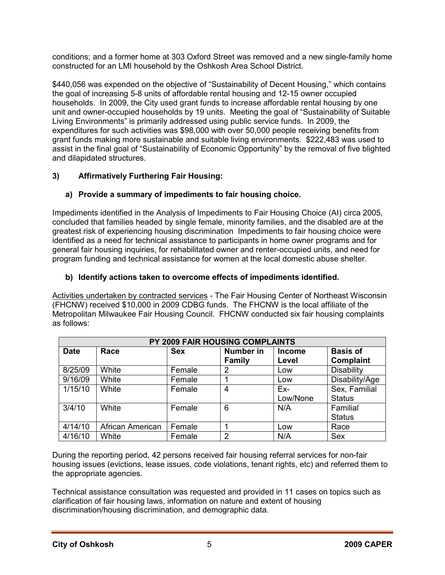conditions; and a former home at 303 Oxford Street was removed and a new single-family home constructed for an LMI household by the Oshkosh Area School District.

\$440,056 was expended on the objective of "Sustainability of Decent Housing," which contains the goal of increasing 5-8 units of affordable rental housing and 12-15 owner occupied households. In 2009, the City used grant funds to increase affordable rental housing by one unit and owner-occupied households by 19 units. Meeting the goal of "Sustainability of Suitable Living Environments" is primarily addressed using public service funds. In 2009, the expenditures for such activities was \$98,000 with over 50,000 people receiving benefits from grant funds making more sustainable and suitable living environments. \$222,483 was used to assist in the final goal of "Sustainability of Economic Opportunity" by the removal of five blighted and dilapidated structures.

### **3) Affirmatively Furthering Fair Housing:**

### **a) Provide a summary of impediments to fair housing choice.**

Impediments identified in the Analysis of Impediments to Fair Housing Choice (AI) circa 2005, concluded that families headed by single female, minority families, and the disabled are at the greatest risk of experiencing housing discrimination Impediments to fair housing choice were identified as a need for technical assistance to participants in home owner programs and for general fair housing inquiries, for rehabilitated owner and renter-occupied units, and need for program funding and technical assistance for women at the local domestic abuse shelter.

### **b) Identify actions taken to overcome effects of impediments identified.**

Activities undertaken by contracted services - The Fair Housing Center of Northeast Wisconsin (FHCNW) received \$10,000 in 2009 CDBG funds. The FHCNW is the local affiliate of the Metropolitan Milwaukee Fair Housing Council. FHCNW conducted six fair housing complaints as follows:

| PY 2009 FAIR HOUSING COMPLAINTS |                  |            |                                   |                        |                                     |  |  |
|---------------------------------|------------------|------------|-----------------------------------|------------------------|-------------------------------------|--|--|
| <b>Date</b>                     | Race             | <b>Sex</b> | <b>Number in</b><br><b>Family</b> | <b>Income</b><br>Level | <b>Basis of</b><br><b>Complaint</b> |  |  |
| 8/25/09                         | White            | Female     | 2                                 | Low                    | Disability                          |  |  |
| 9/16/09                         | White            | Female     |                                   | Low                    | Disability/Age                      |  |  |
| 1/15/10                         | White            | Female     | 4                                 | Ex-                    | Sex, Familial                       |  |  |
|                                 |                  |            |                                   | Low/None               | <b>Status</b>                       |  |  |
| 3/4/10                          | White            | Female     | 6                                 | N/A                    | Familial                            |  |  |
|                                 |                  |            |                                   |                        | <b>Status</b>                       |  |  |
| 4/14/10                         | African American | Female     |                                   | Low                    | Race                                |  |  |
| 4/16/10                         | White            | Female     | $\overline{2}$                    | N/A                    | <b>Sex</b>                          |  |  |

During the reporting period, 42 persons received fair housing referral services for non-fair housing issues (evictions, lease issues, code violations, tenant rights, etc) and referred them to the appropriate agencies.

Technical assistance consultation was requested and provided in 11 cases on topics such as clarification of fair housing laws, information on nature and extent of housing discrimination/housing discrimination, and demographic data.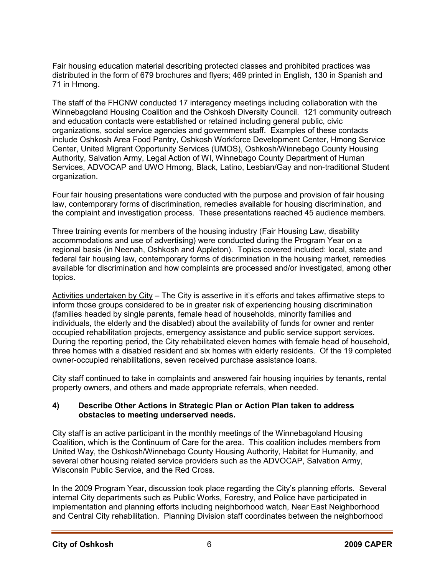Fair housing education material describing protected classes and prohibited practices was distributed in the form of 679 brochures and flyers; 469 printed in English, 130 in Spanish and 71 in Hmong.

The staff of the FHCNW conducted 17 interagency meetings including collaboration with the Winnebagoland Housing Coalition and the Oshkosh Diversity Council. 121 community outreach and education contacts were established or retained including general public, civic organizations, social service agencies and government staff. Examples of these contacts include Oshkosh Area Food Pantry, Oshkosh Workforce Development Center, Hmong Service Center, United Migrant Opportunity Services (UMOS), Oshkosh/Winnebago County Housing Authority, Salvation Army, Legal Action of WI, Winnebago County Department of Human Services, ADVOCAP and UWO Hmong, Black, Latino, Lesbian/Gay and non-traditional Student organization.

Four fair housing presentations were conducted with the purpose and provision of fair housing law, contemporary forms of discrimination, remedies available for housing discrimination, and the complaint and investigation process. These presentations reached 45 audience members.

Three training events for members of the housing industry (Fair Housing Law, disability accommodations and use of advertising) were conducted during the Program Year on a regional basis (in Neenah, Oshkosh and Appleton). Topics covered included: local, state and federal fair housing law, contemporary forms of discrimination in the housing market, remedies available for discrimination and how complaints are processed and/or investigated, among other topics.

Activities undertaken by City – The City is assertive in it's efforts and takes affirmative steps to inform those groups considered to be in greater risk of experiencing housing discrimination (families headed by single parents, female head of households, minority families and individuals, the elderly and the disabled) about the availability of funds for owner and renter occupied rehabilitation projects, emergency assistance and public service support services. During the reporting period, the City rehabilitated eleven homes with female head of household, three homes with a disabled resident and six homes with elderly residents. Of the 19 completed owner-occupied rehabilitations, seven received purchase assistance loans.

City staff continued to take in complaints and answered fair housing inquiries by tenants, rental property owners, and others and made appropriate referrals, when needed.

#### **4) Describe Other Actions in Strategic Plan or Action Plan taken to address obstacles to meeting underserved needs.**

City staff is an active participant in the monthly meetings of the Winnebagoland Housing Coalition, which is the Continuum of Care for the area. This coalition includes members from United Way, the Oshkosh/Winnebago County Housing Authority, Habitat for Humanity, and several other housing related service providers such as the ADVOCAP, Salvation Army, Wisconsin Public Service, and the Red Cross.

In the 2009 Program Year, discussion took place regarding the City's planning efforts. Several internal City departments such as Public Works, Forestry, and Police have participated in implementation and planning efforts including neighborhood watch, Near East Neighborhood and Central City rehabilitation. Planning Division staff coordinates between the neighborhood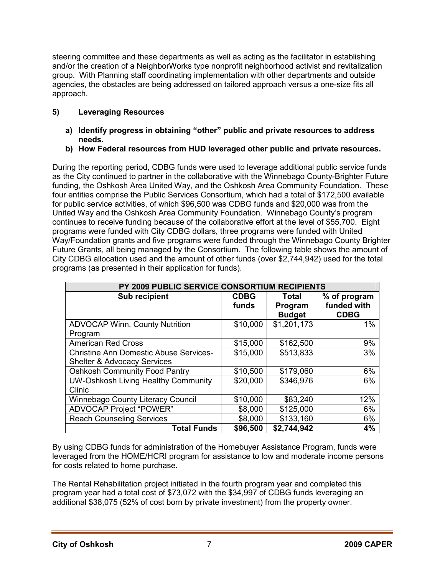steering committee and these departments as well as acting as the facilitator in establishing and/or the creation of a NeighborWorks type nonprofit neighborhood activist and revitalization group. With Planning staff coordinating implementation with other departments and outside agencies, the obstacles are being addressed on tailored approach versus a one-size fits all approach.

### **5) Leveraging Resources**

- **a) Identify progress in obtaining "other" public and private resources to address needs.**
- **b) How Federal resources from HUD leveraged other public and private resources.**

During the reporting period, CDBG funds were used to leverage additional public service funds as the City continued to partner in the collaborative with the Winnebago County-Brighter Future funding, the Oshkosh Area United Way, and the Oshkosh Area Community Foundation. These four entities comprise the Public Services Consortium, which had a total of \$172,500 available for public service activities, of which \$96,500 was CDBG funds and \$20,000 was from the United Way and the Oshkosh Area Community Foundation. Winnebago County's program continues to receive funding because of the collaborative effort at the level of \$55,700. Eight programs were funded with City CDBG dollars, three programs were funded with United Way/Foundation grants and five programs were funded through the Winnebago County Brighter Future Grants, all being managed by the Consortium. The following table shows the amount of City CDBG allocation used and the amount of other funds (over \$2,744,942) used for the total programs (as presented in their application for funds).

| PY 2009 PUBLIC SERVICE CONSORTIUM RECIPIENTS                                            |                      |                                   |                                            |  |  |  |  |  |
|-----------------------------------------------------------------------------------------|----------------------|-----------------------------------|--------------------------------------------|--|--|--|--|--|
| Sub recipient                                                                           | <b>CDBG</b><br>funds | Total<br>Program<br><b>Budget</b> | % of program<br>funded with<br><b>CDBG</b> |  |  |  |  |  |
| <b>ADVOCAP Winn. County Nutrition</b><br>Program                                        | \$10,000             | \$1,201,173                       | 1%                                         |  |  |  |  |  |
| <b>American Red Cross</b>                                                               | \$15,000             | \$162,500                         | 9%                                         |  |  |  |  |  |
| <b>Christine Ann Domestic Abuse Services-</b><br><b>Shelter &amp; Advocacy Services</b> | \$15,000             | \$513,833                         | 3%                                         |  |  |  |  |  |
| <b>Oshkosh Community Food Pantry</b>                                                    | \$10,500             | \$179,060                         | 6%                                         |  |  |  |  |  |
| <b>UW-Oshkosh Living Healthy Community</b><br>Clinic                                    | \$20,000             | \$346,976                         | 6%                                         |  |  |  |  |  |
| <b>Winnebago County Literacy Council</b>                                                | \$10,000             | \$83,240                          | 12%                                        |  |  |  |  |  |
| <b>ADVOCAP Project "POWER"</b>                                                          | \$8,000              | \$125,000                         | 6%                                         |  |  |  |  |  |
| <b>Reach Counseling Services</b>                                                        | \$8,000              | \$133,160                         | 6%                                         |  |  |  |  |  |
| <b>Total Funds</b>                                                                      | \$96,500             | \$2,744,942                       | 4%                                         |  |  |  |  |  |

By using CDBG funds for administration of the Homebuyer Assistance Program, funds were leveraged from the HOME/HCRI program for assistance to low and moderate income persons for costs related to home purchase.

The Rental Rehabilitation project initiated in the fourth program year and completed this program year had a total cost of \$73,072 with the \$34,997 of CDBG funds leveraging an additional \$38,075 (52% of cost born by private investment) from the property owner.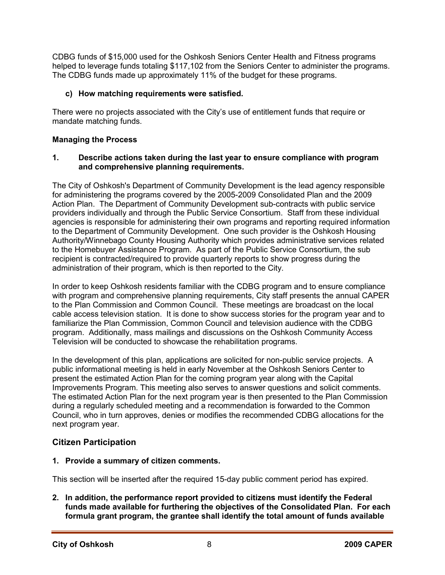CDBG funds of \$15,000 used for the Oshkosh Seniors Center Health and Fitness programs helped to leverage funds totaling \$117,102 from the Seniors Center to administer the programs. The CDBG funds made up approximately 11% of the budget for these programs.

### **c) How matching requirements were satisfied.**

There were no projects associated with the City's use of entitlement funds that require or mandate matching funds.

### **Managing the Process**

#### **1. Describe actions taken during the last year to ensure compliance with program and comprehensive planning requirements.**

The City of Oshkosh's Department of Community Development is the lead agency responsible for administering the programs covered by the 2005-2009 Consolidated Plan and the 2009 Action Plan. The Department of Community Development sub-contracts with public service providers individually and through the Public Service Consortium. Staff from these individual agencies is responsible for administering their own programs and reporting required information to the Department of Community Development. One such provider is the Oshkosh Housing Authority/Winnebago County Housing Authority which provides administrative services related to the Homebuyer Assistance Program. As part of the Public Service Consortium, the sub recipient is contracted/required to provide quarterly reports to show progress during the administration of their program, which is then reported to the City.

In order to keep Oshkosh residents familiar with the CDBG program and to ensure compliance with program and comprehensive planning requirements, City staff presents the annual CAPER to the Plan Commission and Common Council. These meetings are broadcast on the local cable access television station. It is done to show success stories for the program year and to familiarize the Plan Commission, Common Council and television audience with the CDBG program. Additionally, mass mailings and discussions on the Oshkosh Community Access Television will be conducted to showcase the rehabilitation programs.

In the development of this plan, applications are solicited for non-public service projects. A public informational meeting is held in early November at the Oshkosh Seniors Center to present the estimated Action Plan for the coming program year along with the Capital Improvements Program. This meeting also serves to answer questions and solicit comments. The estimated Action Plan for the next program year is then presented to the Plan Commission during a regularly scheduled meeting and a recommendation is forwarded to the Common Council, who in turn approves, denies or modifies the recommended CDBG allocations for the next program year.

### **Citizen Participation**

#### **1. Provide a summary of citizen comments.**

This section will be inserted after the required 15-day public comment period has expired.

**2. In addition, the performance report provided to citizens must identify the Federal funds made available for furthering the objectives of the Consolidated Plan. For each formula grant program, the grantee shall identify the total amount of funds available**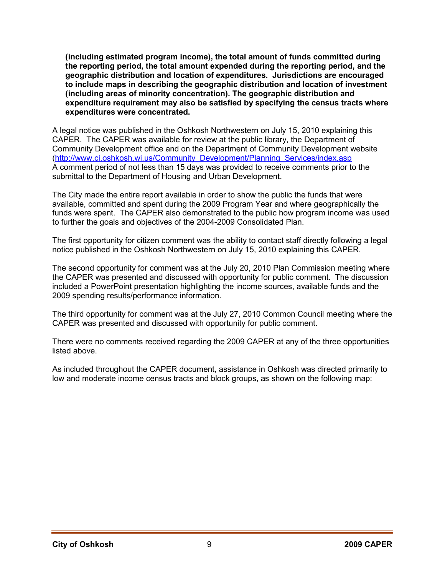**(including estimated program income), the total amount of funds committed during the reporting period, the total amount expended during the reporting period, and the geographic distribution and location of expenditures. Jurisdictions are encouraged to include maps in describing the geographic distribution and location of investment (including areas of minority concentration). The geographic distribution and expenditure requirement may also be satisfied by specifying the census tracts where expenditures were concentrated.** 

A legal notice was published in the Oshkosh Northwestern on July 15, 2010 explaining this CAPER. The CAPER was available for review at the public library, the Department of Community Development office and on the Department of Community Development website (http://www.ci.oshkosh.wi.us/Community\_Development/Planning\_Services/index.asp A comment period of not less than 15 days was provided to receive comments prior to the submittal to the Department of Housing and Urban Development.

The City made the entire report available in order to show the public the funds that were available, committed and spent during the 2009 Program Year and where geographically the funds were spent. The CAPER also demonstrated to the public how program income was used to further the goals and objectives of the 2004-2009 Consolidated Plan.

The first opportunity for citizen comment was the ability to contact staff directly following a legal notice published in the Oshkosh Northwestern on July 15, 2010 explaining this CAPER.

The second opportunity for comment was at the July 20, 2010 Plan Commission meeting where the CAPER was presented and discussed with opportunity for public comment. The discussion included a PowerPoint presentation highlighting the income sources, available funds and the 2009 spending results/performance information.

The third opportunity for comment was at the July 27, 2010 Common Council meeting where the CAPER was presented and discussed with opportunity for public comment.

There were no comments received regarding the 2009 CAPER at any of the three opportunities listed above.

As included throughout the CAPER document, assistance in Oshkosh was directed primarily to low and moderate income census tracts and block groups, as shown on the following map: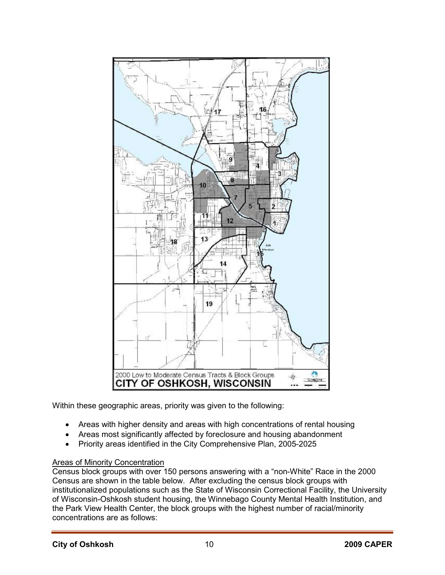

Within these geographic areas, priority was given to the following:

- Areas with higher density and areas with high concentrations of rental housing
- Areas most significantly affected by foreclosure and housing abandonment
- Priority areas identified in the City Comprehensive Plan, 2005-2025

#### Areas of Minority Concentration

Census block groups with over 150 persons answering with a "non-White" Race in the 2000 Census are shown in the table below. After excluding the census block groups with institutionalized populations such as the State of Wisconsin Correctional Facility, the University of Wisconsin-Oshkosh student housing, the Winnebago County Mental Health Institution, and the Park View Health Center, the block groups with the highest number of racial/minority concentrations are as follows: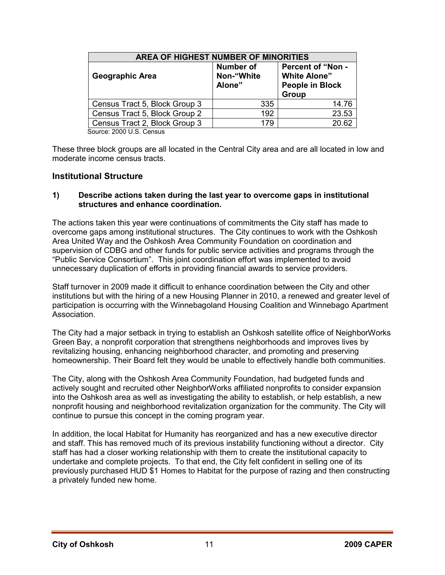| <b>AREA OF HIGHEST NUMBER OF MINORITIES</b> |                                          |                                                                                    |  |  |  |  |
|---------------------------------------------|------------------------------------------|------------------------------------------------------------------------------------|--|--|--|--|
| <b>Geographic Area</b>                      | <b>Number of</b><br>Non-"White<br>Alone" | <b>Percent of "Non -</b><br><b>White Alone"</b><br><b>People in Block</b><br>Group |  |  |  |  |
| Census Tract 5, Block Group 3               | 335                                      | 14.76                                                                              |  |  |  |  |
| Census Tract 5, Block Group 2               | 192                                      | 23.53                                                                              |  |  |  |  |
| Census Tract 2, Block Group 3               | 179                                      | 20.62                                                                              |  |  |  |  |

Source: 2000 U.S. Census

These three block groups are all located in the Central City area and are all located in low and moderate income census tracts.

### **Institutional Structure**

#### **1) Describe actions taken during the last year to overcome gaps in institutional structures and enhance coordination.**

The actions taken this year were continuations of commitments the City staff has made to overcome gaps among institutional structures. The City continues to work with the Oshkosh Area United Way and the Oshkosh Area Community Foundation on coordination and supervision of CDBG and other funds for public service activities and programs through the "Public Service Consortium". This joint coordination effort was implemented to avoid unnecessary duplication of efforts in providing financial awards to service providers.

Staff turnover in 2009 made it difficult to enhance coordination between the City and other institutions but with the hiring of a new Housing Planner in 2010, a renewed and greater level of participation is occurring with the Winnebagoland Housing Coalition and Winnebago Apartment Association.

The City had a major setback in trying to establish an Oshkosh satellite office of NeighborWorks Green Bay, a nonprofit corporation that strengthens neighborhoods and improves lives by revitalizing housing, enhancing neighborhood character, and promoting and preserving homeownership. Their Board felt they would be unable to effectively handle both communities.

The City, along with the Oshkosh Area Community Foundation, had budgeted funds and actively sought and recruited other NeighborWorks affiliated nonprofits to consider expansion into the Oshkosh area as well as investigating the ability to establish, or help establish, a new nonprofit housing and neighborhood revitalization organization for the community. The City will continue to pursue this concept in the coming program year.

In addition, the local Habitat for Humanity has reorganized and has a new executive director and staff. This has removed much of its previous instability functioning without a director. City staff has had a closer working relationship with them to create the institutional capacity to undertake and complete projects. To that end, the City felt confident in selling one of its previously purchased HUD \$1 Homes to Habitat for the purpose of razing and then constructing a privately funded new home.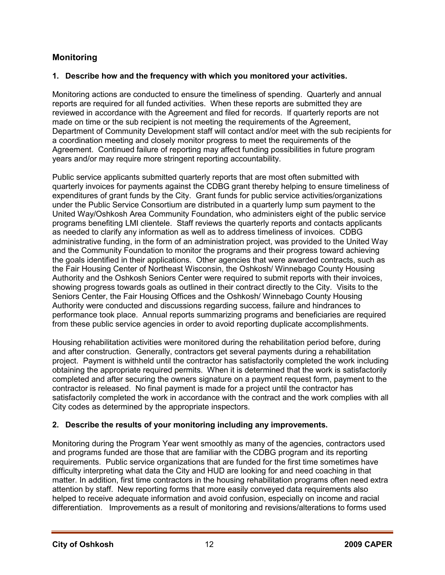### **Monitoring**

### **1. Describe how and the frequency with which you monitored your activities.**

Monitoring actions are conducted to ensure the timeliness of spending. Quarterly and annual reports are required for all funded activities. When these reports are submitted they are reviewed in accordance with the Agreement and filed for records. If quarterly reports are not made on time or the sub recipient is not meeting the requirements of the Agreement, Department of Community Development staff will contact and/or meet with the sub recipients for a coordination meeting and closely monitor progress to meet the requirements of the Agreement. Continued failure of reporting may affect funding possibilities in future program years and/or may require more stringent reporting accountability.

Public service applicants submitted quarterly reports that are most often submitted with quarterly invoices for payments against the CDBG grant thereby helping to ensure timeliness of expenditures of grant funds by the City. Grant funds for public service activities/organizations under the Public Service Consortium are distributed in a quarterly lump sum payment to the United Way/Oshkosh Area Community Foundation, who administers eight of the public service programs benefiting LMI clientele. Staff reviews the quarterly reports and contacts applicants as needed to clarify any information as well as to address timeliness of invoices. CDBG administrative funding, in the form of an administration project, was provided to the United Way and the Community Foundation to monitor the programs and their progress toward achieving the goals identified in their applications. Other agencies that were awarded contracts, such as the Fair Housing Center of Northeast Wisconsin, the Oshkosh/ Winnebago County Housing Authority and the Oshkosh Seniors Center were required to submit reports with their invoices, showing progress towards goals as outlined in their contract directly to the City. Visits to the Seniors Center, the Fair Housing Offices and the Oshkosh/ Winnebago County Housing Authority were conducted and discussions regarding success, failure and hindrances to performance took place. Annual reports summarizing programs and beneficiaries are required from these public service agencies in order to avoid reporting duplicate accomplishments.

Housing rehabilitation activities were monitored during the rehabilitation period before, during and after construction. Generally, contractors get several payments during a rehabilitation project. Payment is withheld until the contractor has satisfactorily completed the work including obtaining the appropriate required permits. When it is determined that the work is satisfactorily completed and after securing the owners signature on a payment request form, payment to the contractor is released. No final payment is made for a project until the contractor has satisfactorily completed the work in accordance with the contract and the work complies with all City codes as determined by the appropriate inspectors.

### **2. Describe the results of your monitoring including any improvements.**

Monitoring during the Program Year went smoothly as many of the agencies, contractors used and programs funded are those that are familiar with the CDBG program and its reporting requirements. Public service organizations that are funded for the first time sometimes have difficulty interpreting what data the City and HUD are looking for and need coaching in that matter. In addition, first time contractors in the housing rehabilitation programs often need extra attention by staff. New reporting forms that more easily conveyed data requirements also helped to receive adequate information and avoid confusion, especially on income and racial differentiation. Improvements as a result of monitoring and revisions/alterations to forms used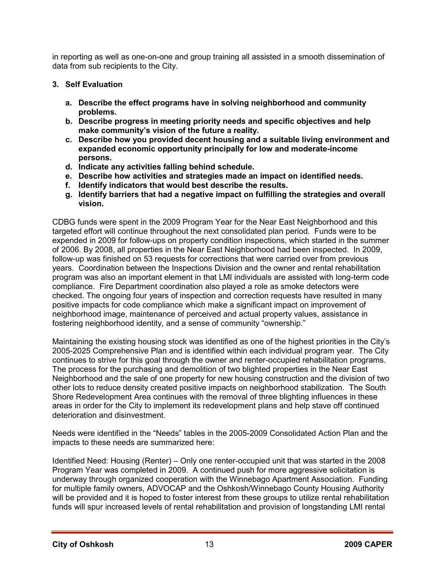in reporting as well as one-on-one and group training all assisted in a smooth dissemination of data from sub recipients to the City.

### **3. Self Evaluation**

- **a. Describe the effect programs have in solving neighborhood and community problems.**
- **b. Describe progress in meeting priority needs and specific objectives and help make community's vision of the future a reality.**
- **c. Describe how you provided decent housing and a suitable living environment and expanded economic opportunity principally for low and moderate-income persons.**
- **d. Indicate any activities falling behind schedule.**
- **e. Describe how activities and strategies made an impact on identified needs.**
- **f. Identify indicators that would best describe the results.**
- **g. Identify barriers that had a negative impact on fulfilling the strategies and overall vision.**

CDBG funds were spent in the 2009 Program Year for the Near East Neighborhood and this targeted effort will continue throughout the next consolidated plan period. Funds were to be expended in 2009 for follow-ups on property condition inspections, which started in the summer of 2006. By 2008, all properties in the Near East Neighborhood had been inspected. In 2009, follow-up was finished on 53 requests for corrections that were carried over from previous years. Coordination between the Inspections Division and the owner and rental rehabilitation program was also an important element in that LMI individuals are assisted with long-term code compliance. Fire Department coordination also played a role as smoke detectors were checked. The ongoing four years of inspection and correction requests have resulted in many positive impacts for code compliance which make a significant impact on improvement of neighborhood image, maintenance of perceived and actual property values, assistance in fostering neighborhood identity, and a sense of community "ownership."

Maintaining the existing housing stock was identified as one of the highest priorities in the City's 2005-2025 Comprehensive Plan and is identified within each individual program year. The City continues to strive for this goal through the owner and renter-occupied rehabilitation programs. The process for the purchasing and demolition of two blighted properties in the Near East Neighborhood and the sale of one property for new housing construction and the division of two other lots to reduce density created positive impacts on neighborhood stabilization. The South Shore Redevelopment Area continues with the removal of three blighting influences in these areas in order for the City to implement its redevelopment plans and help stave off continued deterioration and disinvestment.

Needs were identified in the "Needs" tables in the 2005-2009 Consolidated Action Plan and the impacts to these needs are summarized here:

Identified Need: Housing (Renter) – Only one renter-occupied unit that was started in the 2008 Program Year was completed in 2009. A continued push for more aggressive solicitation is underway through organized cooperation with the Winnebago Apartment Association. Funding for multiple family owners, ADVOCAP and the Oshkosh/Winnebago County Housing Authority will be provided and it is hoped to foster interest from these groups to utilize rental rehabilitation funds will spur increased levels of rental rehabilitation and provision of longstanding LMI rental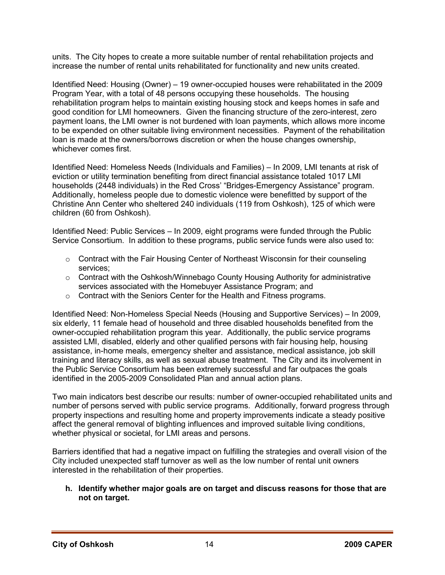units. The City hopes to create a more suitable number of rental rehabilitation projects and increase the number of rental units rehabilitated for functionality and new units created.

Identified Need: Housing (Owner) – 19 owner-occupied houses were rehabilitated in the 2009 Program Year, with a total of 48 persons occupying these households. The housing rehabilitation program helps to maintain existing housing stock and keeps homes in safe and good condition for LMI homeowners. Given the financing structure of the zero-interest, zero payment loans, the LMI owner is not burdened with loan payments, which allows more income to be expended on other suitable living environment necessities. Payment of the rehabilitation loan is made at the owners/borrows discretion or when the house changes ownership, whichever comes first.

Identified Need: Homeless Needs (Individuals and Families) – In 2009, LMI tenants at risk of eviction or utility termination benefiting from direct financial assistance totaled 1017 LMI households (2448 individuals) in the Red Cross' "Bridges-Emergency Assistance" program. Additionally, homeless people due to domestic violence were benefitted by support of the Christine Ann Center who sheltered 240 individuals (119 from Oshkosh), 125 of which were children (60 from Oshkosh).

Identified Need: Public Services – In 2009, eight programs were funded through the Public Service Consortium. In addition to these programs, public service funds were also used to:

- $\circ$  Contract with the Fair Housing Center of Northeast Wisconsin for their counseling services;
- $\circ$  Contract with the Oshkosh/Winnebago County Housing Authority for administrative services associated with the Homebuyer Assistance Program; and
- o Contract with the Seniors Center for the Health and Fitness programs.

Identified Need: Non-Homeless Special Needs (Housing and Supportive Services) – In 2009, six elderly, 11 female head of household and three disabled households benefited from the owner-occupied rehabilitation program this year. Additionally, the public service programs assisted LMI, disabled, elderly and other qualified persons with fair housing help, housing assistance, in-home meals, emergency shelter and assistance, medical assistance, job skill training and literacy skills, as well as sexual abuse treatment. The City and its involvement in the Public Service Consortium has been extremely successful and far outpaces the goals identified in the 2005-2009 Consolidated Plan and annual action plans.

Two main indicators best describe our results: number of owner-occupied rehabilitated units and number of persons served with public service programs. Additionally, forward progress through property inspections and resulting home and property improvements indicate a steady positive affect the general removal of blighting influences and improved suitable living conditions, whether physical or societal, for LMI areas and persons.

Barriers identified that had a negative impact on fulfilling the strategies and overall vision of the City included unexpected staff turnover as well as the low number of rental unit owners interested in the rehabilitation of their properties.

#### **h. Identify whether major goals are on target and discuss reasons for those that are not on target.**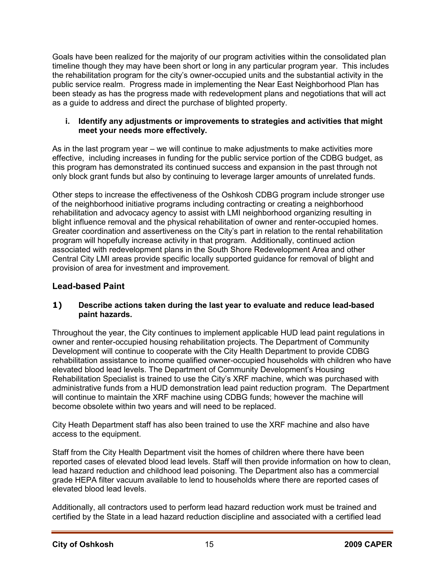Goals have been realized for the majority of our program activities within the consolidated plan timeline though they may have been short or long in any particular program year. This includes the rehabilitation program for the city's owner-occupied units and the substantial activity in the public service realm. Progress made in implementing the Near East Neighborhood Plan has been steady as has the progress made with redevelopment plans and negotiations that will act as a guide to address and direct the purchase of blighted property.

#### **i. Identify any adjustments or improvements to strategies and activities that might meet your needs more effectively.**

As in the last program year – we will continue to make adjustments to make activities more effective, including increases in funding for the public service portion of the CDBG budget, as this program has demonstrated its continued success and expansion in the past through not only block grant funds but also by continuing to leverage larger amounts of unrelated funds.

Other steps to increase the effectiveness of the Oshkosh CDBG program include stronger use of the neighborhood initiative programs including contracting or creating a neighborhood rehabilitation and advocacy agency to assist with LMI neighborhood organizing resulting in blight influence removal and the physical rehabilitation of owner and renter-occupied homes. Greater coordination and assertiveness on the City's part in relation to the rental rehabilitation program will hopefully increase activity in that program. Additionally, continued action associated with redevelopment plans in the South Shore Redevelopment Area and other Central City LMI areas provide specific locally supported guidance for removal of blight and provision of area for investment and improvement.

### **Lead-based Paint**

### **1) Describe actions taken during the last year to evaluate and reduce lead-based paint hazards.**

Throughout the year, the City continues to implement applicable HUD lead paint regulations in owner and renter-occupied housing rehabilitation projects. The Department of Community Development will continue to cooperate with the City Health Department to provide CDBG rehabilitation assistance to income qualified owner-occupied households with children who have elevated blood lead levels. The Department of Community Development's Housing Rehabilitation Specialist is trained to use the City's XRF machine, which was purchased with administrative funds from a HUD demonstration lead paint reduction program. The Department will continue to maintain the XRF machine using CDBG funds; however the machine will become obsolete within two years and will need to be replaced.

City Heath Department staff has also been trained to use the XRF machine and also have access to the equipment.

Staff from the City Health Department visit the homes of children where there have been reported cases of elevated blood lead levels. Staff will then provide information on how to clean, lead hazard reduction and childhood lead poisoning. The Department also has a commercial grade HEPA filter vacuum available to lend to households where there are reported cases of elevated blood lead levels.

Additionally, all contractors used to perform lead hazard reduction work must be trained and certified by the State in a lead hazard reduction discipline and associated with a certified lead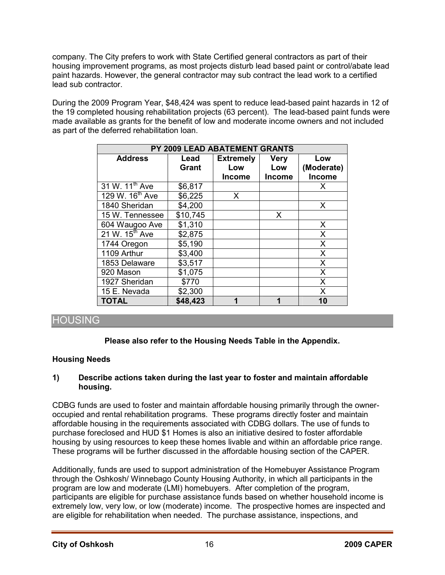company. The City prefers to work with State Certified general contractors as part of their housing improvement programs, as most projects disturb lead based paint or control/abate lead paint hazards. However, the general contractor may sub contract the lead work to a certified lead sub contractor.

During the 2009 Program Year, \$48,424 was spent to reduce lead-based paint hazards in 12 of the 19 completed housing rehabilitation projects (63 percent). The lead-based paint funds were made available as grants for the benefit of low and moderate income owners and not included as part of the deferred rehabilitation loan.

| PY 2009 LEAD ABATEMENT GRANTS |                      |                                          |                                     |                             |  |  |  |
|-------------------------------|----------------------|------------------------------------------|-------------------------------------|-----------------------------|--|--|--|
| <b>Address</b>                | Lead<br><b>Grant</b> | <b>Extremely</b><br>Low<br><b>Income</b> | <b>Very</b><br>Low<br><b>Income</b> | Low<br>(Moderate)<br>Income |  |  |  |
| 31 W. 11 <sup>th</sup> Ave    | \$6,817              |                                          |                                     | Х                           |  |  |  |
| 129 W. 16 <sup>th</sup> Ave   | \$6,225              | X                                        |                                     |                             |  |  |  |
| 1840 Sheridan                 | \$4,200              |                                          |                                     | X                           |  |  |  |
| 15 W. Tennessee               | \$10,745             |                                          | X                                   |                             |  |  |  |
| 604 Waugoo Ave                | \$1,310              |                                          |                                     | X                           |  |  |  |
| 21 W. 15 <sup>th</sup> Ave    | \$2,875              |                                          |                                     | Χ                           |  |  |  |
| 1744 Oregon                   | \$5,190              |                                          |                                     | X                           |  |  |  |
| 1109 Arthur                   | \$3,400              |                                          |                                     | X                           |  |  |  |
| 1853 Delaware                 | \$3,517              |                                          |                                     | X                           |  |  |  |
| 920 Mason                     | \$1,075              |                                          |                                     | X                           |  |  |  |
| 1927 Sheridan                 | \$770                |                                          |                                     | X                           |  |  |  |
| 15 E. Nevada                  | \$2,300              |                                          |                                     | X                           |  |  |  |
| <b>TOTAL</b>                  | \$48,423             | 1                                        | 1                                   | 10                          |  |  |  |

### HOUSING

### **Please also refer to the Housing Needs Table in the Appendix.**

### **Housing Needs**

### **1) Describe actions taken during the last year to foster and maintain affordable housing.**

CDBG funds are used to foster and maintain affordable housing primarily through the owneroccupied and rental rehabilitation programs. These programs directly foster and maintain affordable housing in the requirements associated with CDBG dollars. The use of funds to purchase foreclosed and HUD \$1 Homes is also an initiative desired to foster affordable housing by using resources to keep these homes livable and within an affordable price range. These programs will be further discussed in the affordable housing section of the CAPER.

Additionally, funds are used to support administration of the Homebuyer Assistance Program through the Oshkosh/ Winnebago County Housing Authority, in which all participants in the program are low and moderate (LMI) homebuyers. After completion of the program, participants are eligible for purchase assistance funds based on whether household income is extremely low, very low, or low (moderate) income. The prospective homes are inspected and are eligible for rehabilitation when needed. The purchase assistance, inspections, and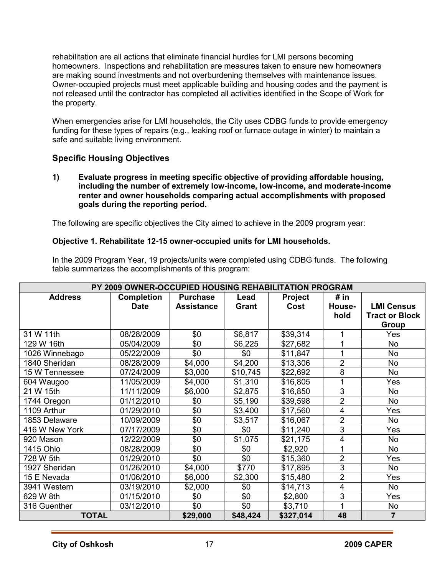rehabilitation are all actions that eliminate financial hurdles for LMI persons becoming homeowners. Inspections and rehabilitation are measures taken to ensure new homeowners are making sound investments and not overburdening themselves with maintenance issues. Owner-occupied projects must meet applicable building and housing codes and the payment is not released until the contractor has completed all activities identified in the Scope of Work for the property.

When emergencies arise for LMI households, the City uses CDBG funds to provide emergency funding for these types of repairs (e.g., leaking roof or furnace outage in winter) to maintain a safe and suitable living environment.

### **Specific Housing Objectives**

**1) Evaluate progress in meeting specific objective of providing affordable housing, including the number of extremely low-income, low-income, and moderate-income renter and owner households comparing actual accomplishments with proposed goals during the reporting period.** 

The following are specific objectives the City aimed to achieve in the 2009 program year:

### **Objective 1. Rehabilitate 12-15 owner-occupied units for LMI households.**

In the 2009 Program Year, 19 projects/units were completed using CDBG funds. The following table summarizes the accomplishments of this program:

| PY 2009 OWNER-OCCUPIED HOUSING REHABILITATION PROGRAM |                   |                   |          |                |                |                       |
|-------------------------------------------------------|-------------------|-------------------|----------|----------------|----------------|-----------------------|
| <b>Address</b>                                        | <b>Completion</b> | <b>Purchase</b>   | Lead     | <b>Project</b> | # $in$         |                       |
|                                                       | <b>Date</b>       | <b>Assistance</b> | Grant    | Cost           | House-         | <b>LMI Census</b>     |
|                                                       |                   |                   |          |                | hold           | <b>Tract or Block</b> |
|                                                       |                   |                   |          |                |                | <b>Group</b>          |
| 31 W 11th                                             | 08/28/2009        | \$0               | \$6,817  | \$39,314       |                | Yes                   |
| 129 W 16th                                            | 05/04/2009        | \$0               | \$6,225  | \$27,682       |                | <b>No</b>             |
| 1026 Winnebago                                        | 05/22/2009        | \$0               | \$0      | \$11,847       |                | <b>No</b>             |
| 1840 Sheridan                                         | 08/28/2009        | \$4,000           | \$4,200  | \$13,306       | $\overline{2}$ | <b>No</b>             |
| 15 W Tennessee                                        | 07/24/2009        | \$3,000           | \$10,745 | \$22,692       | 8              | <b>No</b>             |
| 604 Waugoo                                            | 11/05/2009        | \$4,000           | \$1,310  | \$16,805       |                | Yes                   |
| 21 W 15th                                             | 11/11/2009        | \$6,000           | \$2,875  | \$16,850       | 3              | <b>No</b>             |
| 1744 Oregon                                           | 01/12/2010        | \$0               | \$5,190  | \$39,598       | $\overline{2}$ | <b>No</b>             |
| 1109 Arthur                                           | 01/29/2010        | \$0               | \$3,400  | \$17,560       | 4              | Yes                   |
| 1853 Delaware                                         | 10/09/2009        | \$0               | \$3,517  | \$16,067       | $\overline{2}$ | <b>No</b>             |
| 416 W New York                                        | 07/17/2009        | \$0               | \$0      | \$11,240       | 3              | Yes                   |
| 920 Mason                                             | 12/22/2009        | \$0               | \$1,075  | \$21,175       | 4              | <b>No</b>             |
| 1415 Ohio                                             | 08/28/2009        | \$0               | \$0      | \$2,920        | 1              | <b>No</b>             |
| 728 W 5th                                             | 01/29/2010        | \$0               | \$0      | \$15,360       | $\overline{2}$ | Yes                   |
| 1927 Sheridan                                         | 01/26/2010        | \$4,000           | \$770    | \$17,895       | 3              | No                    |
| 15 E Nevada                                           | 01/06/2010        | \$6,000           | \$2,300  | \$15,480       | $\overline{2}$ | Yes                   |
| 3941 Western                                          | 03/19/2010        | \$2,000           | \$0      | \$14,713       | 4              | No                    |
| 629 W 8th                                             | 01/15/2010        | \$0               | \$0      | \$2,800        | 3              | Yes                   |
| 316 Guenther                                          | 03/12/2010        | \$0               | \$0      | \$3,710        | 1              | No                    |
| <b>TOTAL</b>                                          |                   | \$29,000          | \$48,424 | \$327,014      | 48             | $\overline{7}$        |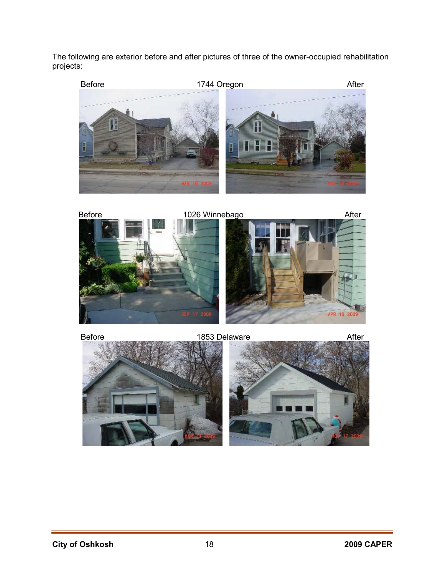The following are exterior before and after pictures of three of the owner-occupied rehabilitation projects:



Before **1026 Winnebago After** 



Before **1853 Delaware** After

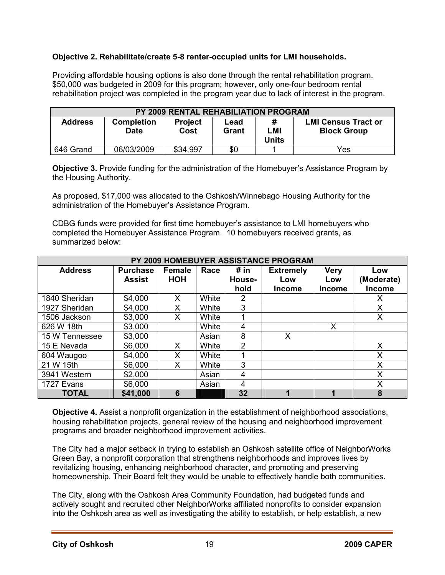### **Objective 2. Rehabilitate/create 5-8 renter-occupied units for LMI households.**

Providing affordable housing options is also done through the rental rehabilitation program. \$50,000 was budgeted in 2009 for this program; however, only one-four bedroom rental rehabilitation project was completed in the program year due to lack of interest in the program.

| <b>PY 2009 RENTAL REHABILIATION PROGRAM</b> |                                  |                        |               |                   |                                                  |  |  |  |  |
|---------------------------------------------|----------------------------------|------------------------|---------------|-------------------|--------------------------------------------------|--|--|--|--|
| <b>Address</b>                              | <b>Completion</b><br><b>Date</b> | <b>Project</b><br>Cost | Lead<br>Grant | Ш<br>LMI<br>Units | <b>LMI Census Tract or</b><br><b>Block Group</b> |  |  |  |  |
| 646 Grand                                   | 06/03/2009                       | \$34,997               | \$0           |                   | Yes                                              |  |  |  |  |

**Objective 3.** Provide funding for the administration of the Homebuyer's Assistance Program by the Housing Authority.

As proposed, \$17,000 was allocated to the Oshkosh/Winnebago Housing Authority for the administration of the Homebuyer's Assistance Program.

CDBG funds were provided for first time homebuyer's assistance to LMI homebuyers who completed the Homebuyer Assistance Program. 10 homebuyers received grants, as summarized below:

| PY 2009 HOMEBUYER ASSISTANCE PROGRAM |                 |               |       |        |                  |               |               |  |
|--------------------------------------|-----------------|---------------|-------|--------|------------------|---------------|---------------|--|
| <b>Address</b>                       | <b>Purchase</b> | <b>Female</b> | Race  | # in   | <b>Extremely</b> | <b>Very</b>   | Low           |  |
|                                      | <b>Assist</b>   | <b>HOH</b>    |       | House- | Low              | Low           | (Moderate)    |  |
|                                      |                 |               |       | hold   | <b>Income</b>    | <b>Income</b> | <b>Income</b> |  |
| 1840 Sheridan                        | \$4,000         | X             | White | 2      |                  |               | х             |  |
| 1927 Sheridan                        | \$4,000         | Χ             | White | 3      |                  |               | Χ             |  |
| 1506 Jackson                         | \$3,000         | X             | White |        |                  |               | X             |  |
| 626 W 18th                           | \$3,000         |               | White | 4      |                  | X             |               |  |
| 15 W Tennessee                       | \$3,000         |               | Asian | 8      | X                |               |               |  |
| 15 E Nevada                          | \$6,000         | X             | White | 2      |                  |               | X             |  |
| 604 Waugoo                           | \$4,000         | X             | White |        |                  |               | X             |  |
| 21 W 15th                            | \$6,000         | X             | White | 3      |                  |               | X             |  |
| 3941 Western                         | \$2,000         |               | Asian | 4      |                  |               | X             |  |
| 1727 Evans                           | \$6,000         |               | Asian | 4      |                  |               | Χ             |  |
| <b>TOTAL</b>                         | \$41,000        | 6             |       | 32     | 1                | 1             | 8             |  |

**Objective 4.** Assist a nonprofit organization in the establishment of neighborhood associations, housing rehabilitation projects, general review of the housing and neighborhood improvement programs and broader neighborhood improvement activities.

The City had a major setback in trying to establish an Oshkosh satellite office of NeighborWorks Green Bay, a nonprofit corporation that strengthens neighborhoods and improves lives by revitalizing housing, enhancing neighborhood character, and promoting and preserving homeownership. Their Board felt they would be unable to effectively handle both communities.

The City, along with the Oshkosh Area Community Foundation, had budgeted funds and actively sought and recruited other NeighborWorks affiliated nonprofits to consider expansion into the Oshkosh area as well as investigating the ability to establish, or help establish, a new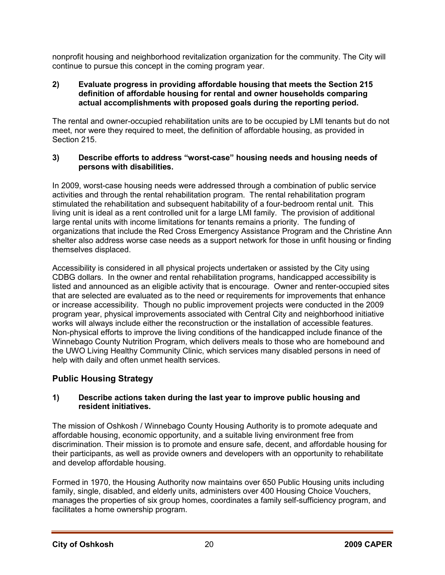nonprofit housing and neighborhood revitalization organization for the community. The City will continue to pursue this concept in the coming program year.

#### **2) Evaluate progress in providing affordable housing that meets the Section 215 definition of affordable housing for rental and owner households comparing actual accomplishments with proposed goals during the reporting period.**

The rental and owner-occupied rehabilitation units are to be occupied by LMI tenants but do not meet, nor were they required to meet, the definition of affordable housing, as provided in Section 215.

### **3) Describe efforts to address "worst-case" housing needs and housing needs of persons with disabilities.**

In 2009, worst-case housing needs were addressed through a combination of public service activities and through the rental rehabilitation program. The rental rehabilitation program stimulated the rehabilitation and subsequent habitability of a four-bedroom rental unit. This living unit is ideal as a rent controlled unit for a large LMI family. The provision of additional large rental units with income limitations for tenants remains a priority. The funding of organizations that include the Red Cross Emergency Assistance Program and the Christine Ann shelter also address worse case needs as a support network for those in unfit housing or finding themselves displaced.

Accessibility is considered in all physical projects undertaken or assisted by the City using CDBG dollars. In the owner and rental rehabilitation programs, handicapped accessibility is listed and announced as an eligible activity that is encourage. Owner and renter-occupied sites that are selected are evaluated as to the need or requirements for improvements that enhance or increase accessibility. Though no public improvement projects were conducted in the 2009 program year, physical improvements associated with Central City and neighborhood initiative works will always include either the reconstruction or the installation of accessible features. Non-physical efforts to improve the living conditions of the handicapped include finance of the Winnebago County Nutrition Program, which delivers meals to those who are homebound and the UWO Living Healthy Community Clinic, which services many disabled persons in need of help with daily and often unmet health services.

### **Public Housing Strategy**

### **1) Describe actions taken during the last year to improve public housing and resident initiatives.**

The mission of Oshkosh / Winnebago County Housing Authority is to promote adequate and affordable housing, economic opportunity, and a suitable living environment free from discrimination. Their mission is to promote and ensure safe, decent, and affordable housing for their participants, as well as provide owners and developers with an opportunity to rehabilitate and develop affordable housing.

Formed in 1970, the Housing Authority now maintains over 650 Public Housing units including family, single, disabled, and elderly units, administers over 400 Housing Choice Vouchers, manages the properties of six group homes, coordinates a family self-sufficiency program, and facilitates a home ownership program.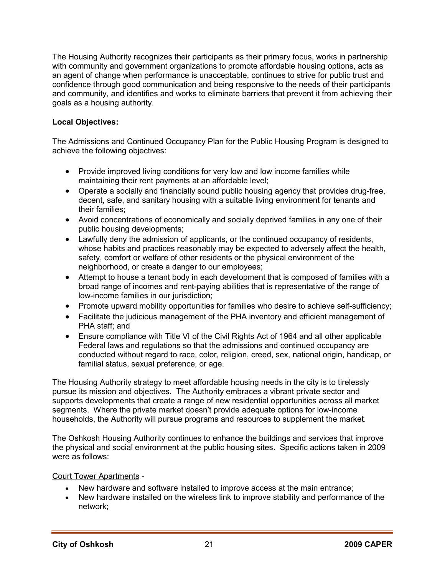The Housing Authority recognizes their participants as their primary focus, works in partnership with community and government organizations to promote affordable housing options, acts as an agent of change when performance is unacceptable, continues to strive for public trust and confidence through good communication and being responsive to the needs of their participants and community, and identifies and works to eliminate barriers that prevent it from achieving their goals as a housing authority.

### **Local Objectives:**

The Admissions and Continued Occupancy Plan for the Public Housing Program is designed to achieve the following objectives:

- Provide improved living conditions for very low and low income families while maintaining their rent payments at an affordable level;
- Operate a socially and financially sound public housing agency that provides drug-free, decent, safe, and sanitary housing with a suitable living environment for tenants and their families;
- Avoid concentrations of economically and socially deprived families in any one of their public housing developments;
- Lawfully deny the admission of applicants, or the continued occupancy of residents, whose habits and practices reasonably may be expected to adversely affect the health, safety, comfort or welfare of other residents or the physical environment of the neighborhood, or create a danger to our employees;
- Attempt to house a tenant body in each development that is composed of families with a broad range of incomes and rent-paying abilities that is representative of the range of low-income families in our jurisdiction;
- Promote upward mobility opportunities for families who desire to achieve self-sufficiency;
- Facilitate the judicious management of the PHA inventory and efficient management of PHA staff; and
- Ensure compliance with Title VI of the Civil Rights Act of 1964 and all other applicable Federal laws and regulations so that the admissions and continued occupancy are conducted without regard to race, color, religion, creed, sex, national origin, handicap, or familial status, sexual preference, or age.

The Housing Authority strategy to meet affordable housing needs in the city is to tirelessly pursue its mission and objectives. The Authority embraces a vibrant private sector and supports developments that create a range of new residential opportunities across all market segments. Where the private market doesn't provide adequate options for low-income households, the Authority will pursue programs and resources to supplement the market.

The Oshkosh Housing Authority continues to enhance the buildings and services that improve the physical and social environment at the public housing sites. Specific actions taken in 2009 were as follows:

#### Court Tower Apartments -

- New hardware and software installed to improve access at the main entrance;
- New hardware installed on the wireless link to improve stability and performance of the network;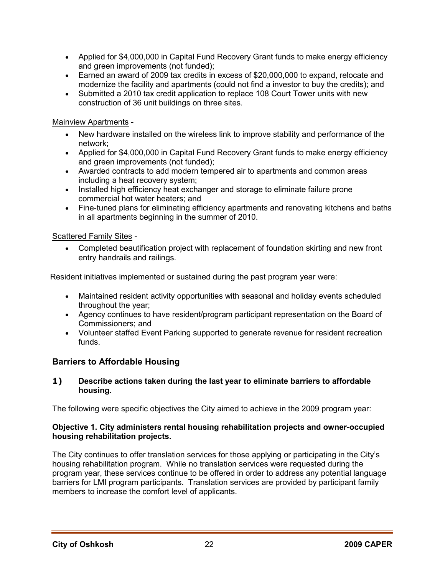- Applied for \$4,000,000 in Capital Fund Recovery Grant funds to make energy efficiency and green improvements (not funded);
- Earned an award of 2009 tax credits in excess of \$20,000,000 to expand, relocate and modernize the facility and apartments (could not find a investor to buy the credits); and
- Submitted a 2010 tax credit application to replace 108 Court Tower units with new construction of 36 unit buildings on three sites.

### Mainview Apartments -

- New hardware installed on the wireless link to improve stability and performance of the network;
- Applied for \$4,000,000 in Capital Fund Recovery Grant funds to make energy efficiency and green improvements (not funded);
- Awarded contracts to add modern tempered air to apartments and common areas including a heat recovery system;
- Installed high efficiency heat exchanger and storage to eliminate failure prone commercial hot water heaters; and
- Fine-tuned plans for eliminating efficiency apartments and renovating kitchens and baths in all apartments beginning in the summer of 2010.

### Scattered Family Sites -

• Completed beautification project with replacement of foundation skirting and new front entry handrails and railings.

Resident initiatives implemented or sustained during the past program year were:

- Maintained resident activity opportunities with seasonal and holiday events scheduled throughout the year;
- Agency continues to have resident/program participant representation on the Board of Commissioners; and
- Volunteer staffed Event Parking supported to generate revenue for resident recreation funds.

### **Barriers to Affordable Housing**

#### **1) Describe actions taken during the last year to eliminate barriers to affordable housing.**

The following were specific objectives the City aimed to achieve in the 2009 program year:

#### **Objective 1. City administers rental housing rehabilitation projects and owner-occupied housing rehabilitation projects.**

The City continues to offer translation services for those applying or participating in the City's housing rehabilitation program. While no translation services were requested during the program year, these services continue to be offered in order to address any potential language barriers for LMI program participants. Translation services are provided by participant family members to increase the comfort level of applicants.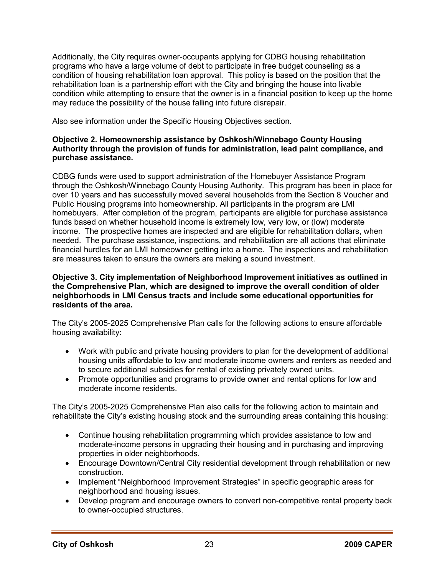Additionally, the City requires owner-occupants applying for CDBG housing rehabilitation programs who have a large volume of debt to participate in free budget counseling as a condition of housing rehabilitation loan approval. This policy is based on the position that the rehabilitation loan is a partnership effort with the City and bringing the house into livable condition while attempting to ensure that the owner is in a financial position to keep up the home may reduce the possibility of the house falling into future disrepair.

Also see information under the Specific Housing Objectives section.

#### **Objective 2. Homeownership assistance by Oshkosh/Winnebago County Housing Authority through the provision of funds for administration, lead paint compliance, and purchase assistance.**

CDBG funds were used to support administration of the Homebuyer Assistance Program through the Oshkosh/Winnebago County Housing Authority. This program has been in place for over 10 years and has successfully moved several households from the Section 8 Voucher and Public Housing programs into homeownership. All participants in the program are LMI homebuyers. After completion of the program, participants are eligible for purchase assistance funds based on whether household income is extremely low, very low, or (low) moderate income. The prospective homes are inspected and are eligible for rehabilitation dollars, when needed. The purchase assistance, inspections, and rehabilitation are all actions that eliminate financial hurdles for an LMI homeowner getting into a home. The inspections and rehabilitation are measures taken to ensure the owners are making a sound investment.

#### **Objective 3. City implementation of Neighborhood Improvement initiatives as outlined in the Comprehensive Plan, which are designed to improve the overall condition of older neighborhoods in LMI Census tracts and include some educational opportunities for residents of the area.**

The City's 2005-2025 Comprehensive Plan calls for the following actions to ensure affordable housing availability:

- Work with public and private housing providers to plan for the development of additional housing units affordable to low and moderate income owners and renters as needed and to secure additional subsidies for rental of existing privately owned units.
- Promote opportunities and programs to provide owner and rental options for low and moderate income residents.

The City's 2005-2025 Comprehensive Plan also calls for the following action to maintain and rehabilitate the City's existing housing stock and the surrounding areas containing this housing:

- Continue housing rehabilitation programming which provides assistance to low and moderate-income persons in upgrading their housing and in purchasing and improving properties in older neighborhoods.
- Encourage Downtown/Central City residential development through rehabilitation or new construction.
- Implement "Neighborhood Improvement Strategies" in specific geographic areas for neighborhood and housing issues.
- Develop program and encourage owners to convert non-competitive rental property back to owner-occupied structures.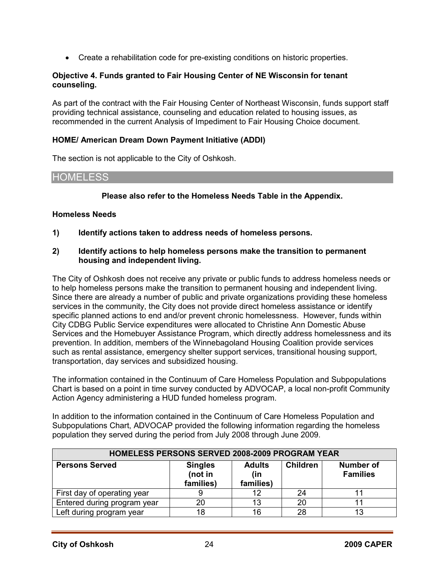• Create a rehabilitation code for pre-existing conditions on historic properties.

#### **Objective 4. Funds granted to Fair Housing Center of NE Wisconsin for tenant counseling.**

As part of the contract with the Fair Housing Center of Northeast Wisconsin, funds support staff providing technical assistance, counseling and education related to housing issues, as recommended in the current Analysis of Impediment to Fair Housing Choice document.

#### **HOME/ American Dream Down Payment Initiative (ADDI)**

The section is not applicable to the City of Oshkosh.

### HOMELESS

#### **Please also refer to the Homeless Needs Table in the Appendix.**

#### **Homeless Needs**

**1) Identify actions taken to address needs of homeless persons.** 

#### **2) Identify actions to help homeless persons make the transition to permanent housing and independent living.**

The City of Oshkosh does not receive any private or public funds to address homeless needs or to help homeless persons make the transition to permanent housing and independent living. Since there are already a number of public and private organizations providing these homeless services in the community, the City does not provide direct homeless assistance or identify specific planned actions to end and/or prevent chronic homelessness. However, funds within City CDBG Public Service expenditures were allocated to Christine Ann Domestic Abuse Services and the Homebuyer Assistance Program, which directly address homelessness and its prevention. In addition, members of the Winnebagoland Housing Coalition provide services such as rental assistance, emergency shelter support services, transitional housing support, transportation, day services and subsidized housing.

The information contained in the Continuum of Care Homeless Population and Subpopulations Chart is based on a point in time survey conducted by ADVOCAP, a local non-profit Community Action Agency administering a HUD funded homeless program.

In addition to the information contained in the Continuum of Care Homeless Population and Subpopulations Chart, ADVOCAP provided the following information regarding the homeless population they served during the period from July 2008 through June 2009.

| HOMELESS PERSONS SERVED 2008-2009 PROGRAM YEAR |                                        |                                   |                 |                                     |  |
|------------------------------------------------|----------------------------------------|-----------------------------------|-----------------|-------------------------------------|--|
| <b>Persons Served</b>                          | <b>Singles</b><br>(not in<br>families) | <b>Adults</b><br>(in<br>families) | <b>Children</b> | <b>Number of</b><br><b>Families</b> |  |
| First day of operating year                    |                                        | 12                                | 24              |                                     |  |
| Entered during program year                    | 20                                     | 13                                | 20              |                                     |  |
| Left during program year                       | 18                                     | 16                                | 28              | 13                                  |  |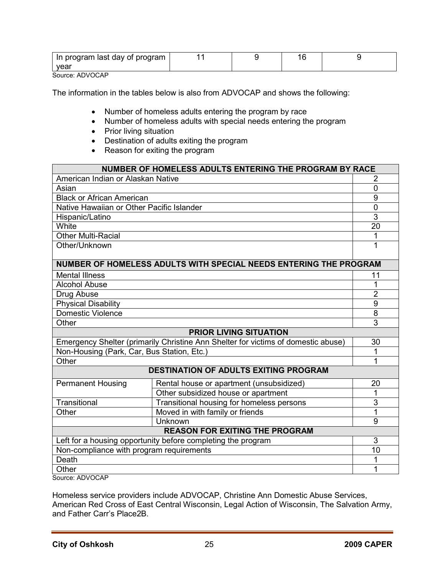| In program last day of program |  |  |
|--------------------------------|--|--|
| vear                           |  |  |

Source: ADVOCAP

The information in the tables below is also from ADVOCAP and shows the following:

- Number of homeless adults entering the program by race
- Number of homeless adults with special needs entering the program
- Prior living situation
- Destination of adults exiting the program
- Reason for exiting the program

| NUMBER OF HOMELESS ADULTS ENTERING THE PROGRAM BY RACE                            |                                                                   |                     |  |  |
|-----------------------------------------------------------------------------------|-------------------------------------------------------------------|---------------------|--|--|
| American Indian or Alaskan Native                                                 |                                                                   | 2                   |  |  |
| Asian                                                                             |                                                                   | $\overline{0}$      |  |  |
| <b>Black or African American</b>                                                  |                                                                   | 9                   |  |  |
| Native Hawaiian or Other Pacific Islander                                         |                                                                   | $\mathbf 0$         |  |  |
| Hispanic/Latino                                                                   |                                                                   | $\overline{3}$      |  |  |
| White                                                                             |                                                                   | 20                  |  |  |
| <b>Other Multi-Racial</b>                                                         |                                                                   | 1                   |  |  |
| Other/Unknown                                                                     |                                                                   | 1                   |  |  |
|                                                                                   |                                                                   |                     |  |  |
|                                                                                   | NUMBER OF HOMELESS ADULTS WITH SPECIAL NEEDS ENTERING THE PROGRAM |                     |  |  |
| <b>Mental Illness</b>                                                             |                                                                   | 11                  |  |  |
| <b>Alcohol Abuse</b>                                                              |                                                                   | 1                   |  |  |
| Drug Abuse                                                                        |                                                                   | $\overline{2}$      |  |  |
| <b>Physical Disability</b>                                                        |                                                                   | $\overline{9}$<br>8 |  |  |
| Domestic Violence                                                                 |                                                                   |                     |  |  |
| Other                                                                             |                                                                   |                     |  |  |
| <b>PRIOR LIVING SITUATION</b>                                                     |                                                                   |                     |  |  |
| Emergency Shelter (primarily Christine Ann Shelter for victims of domestic abuse) |                                                                   |                     |  |  |
| Non-Housing (Park, Car, Bus Station, Etc.)                                        |                                                                   |                     |  |  |
| Other                                                                             |                                                                   | 1                   |  |  |
|                                                                                   | <b>DESTINATION OF ADULTS EXITING PROGRAM</b>                      |                     |  |  |
| <b>Permanent Housing</b>                                                          | Rental house or apartment (unsubsidized)                          | 20                  |  |  |
|                                                                                   | Other subsidized house or apartment                               | 1                   |  |  |
| Transitional                                                                      | Transitional housing for homeless persons                         | 3                   |  |  |
| Other                                                                             | Moved in with family or friends                                   | 1                   |  |  |
|                                                                                   | Unknown                                                           | 9                   |  |  |
|                                                                                   | <b>REASON FOR EXITING THE PROGRAM</b>                             |                     |  |  |
| Left for a housing opportunity before completing the program                      |                                                                   |                     |  |  |
| Non-compliance with program requirements                                          |                                                                   |                     |  |  |
| Death                                                                             |                                                                   |                     |  |  |
| Other                                                                             |                                                                   | 1                   |  |  |
| Source: ADVOCAP                                                                   |                                                                   |                     |  |  |

Homeless service providers include ADVOCAP, Christine Ann Domestic Abuse Services, American Red Cross of East Central Wisconsin, Legal Action of Wisconsin, The Salvation Army, and Father Carr's Place2B.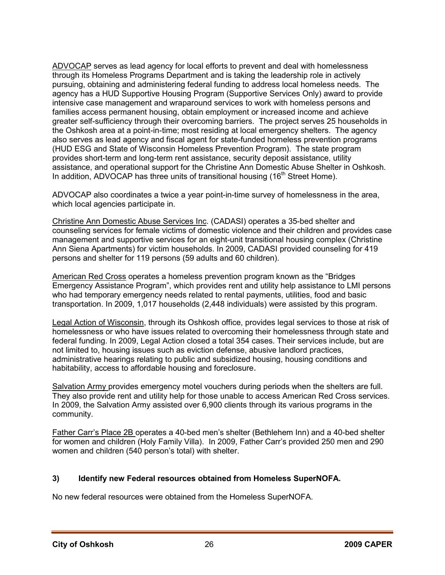ADVOCAP serves as lead agency for local efforts to prevent and deal with homelessness through its Homeless Programs Department and is taking the leadership role in actively pursuing, obtaining and administering federal funding to address local homeless needs. The agency has a HUD Supportive Housing Program (Supportive Services Only) award to provide intensive case management and wraparound services to work with homeless persons and families access permanent housing, obtain employment or increased income and achieve greater self-sufficiency through their overcoming barriers. The project serves 25 households in the Oshkosh area at a point-in-time; most residing at local emergency shelters. The agency also serves as lead agency and fiscal agent for state-funded homeless prevention programs (HUD ESG and State of Wisconsin Homeless Prevention Program). The state program provides short-term and long-term rent assistance, security deposit assistance, utility assistance, and operational support for the Christine Ann Domestic Abuse Shelter in Oshkosh. In addition, ADVOCAP has three units of transitional housing  $(16<sup>th</sup>$  Street Home).

ADVOCAP also coordinates a twice a year point-in-time survey of homelessness in the area, which local agencies participate in.

Christine Ann Domestic Abuse Services Inc. (CADASI) operates a 35-bed shelter and counseling services for female victims of domestic violence and their children and provides case management and supportive services for an eight-unit transitional housing complex (Christine Ann Siena Apartments) for victim households. In 2009, CADASI provided counseling for 419 persons and shelter for 119 persons (59 adults and 60 children).

American Red Cross operates a homeless prevention program known as the "Bridges Emergency Assistance Program", which provides rent and utility help assistance to LMI persons who had temporary emergency needs related to rental payments, utilities, food and basic transportation. In 2009, 1,017 households (2,448 individuals) were assisted by this program.

Legal Action of Wisconsin, through its Oshkosh office, provides legal services to those at risk of homelessness or who have issues related to overcoming their homelessness through state and federal funding. In 2009, Legal Action closed a total 354 cases. Their services include, but are not limited to, housing issues such as eviction defense, abusive landlord practices, administrative hearings relating to public and subsidized housing, housing conditions and habitability, access to affordable housing and foreclosure.

Salvation Army provides emergency motel vouchers during periods when the shelters are full. They also provide rent and utility help for those unable to access American Red Cross services. In 2009, the Salvation Army assisted over 6,900 clients through its various programs in the community.

Father Carr's Place 2B operates a 40-bed men's shelter (Bethlehem Inn) and a 40-bed shelter for women and children (Holy Family Villa). In 2009, Father Carr's provided 250 men and 290 women and children (540 person's total) with shelter.

### **3) Identify new Federal resources obtained from Homeless SuperNOFA.**

No new federal resources were obtained from the Homeless SuperNOFA.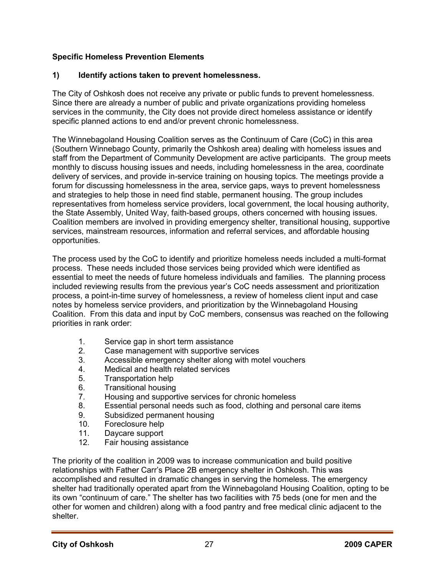### **Specific Homeless Prevention Elements**

### **1) Identify actions taken to prevent homelessness.**

The City of Oshkosh does not receive any private or public funds to prevent homelessness. Since there are already a number of public and private organizations providing homeless services in the community, the City does not provide direct homeless assistance or identify specific planned actions to end and/or prevent chronic homelessness.

The Winnebagoland Housing Coalition serves as the Continuum of Care (CoC) in this area (Southern Winnebago County, primarily the Oshkosh area) dealing with homeless issues and staff from the Department of Community Development are active participants. The group meets monthly to discuss housing issues and needs, including homelessness in the area, coordinate delivery of services, and provide in-service training on housing topics. The meetings provide a forum for discussing homelessness in the area, service gaps, ways to prevent homelessness and strategies to help those in need find stable, permanent housing. The group includes representatives from homeless service providers, local government, the local housing authority, the State Assembly, United Way, faith-based groups, others concerned with housing issues. Coalition members are involved in providing emergency shelter, transitional housing, supportive services, mainstream resources, information and referral services, and affordable housing opportunities.

The process used by the CoC to identify and prioritize homeless needs included a multi-format process. These needs included those services being provided which were identified as essential to meet the needs of future homeless individuals and families. The planning process included reviewing results from the previous year's CoC needs assessment and prioritization process, a point-in-time survey of homelessness, a review of homeless client input and case notes by homeless service providers, and prioritization by the Winnebagoland Housing Coalition. From this data and input by CoC members, consensus was reached on the following priorities in rank order:

- 1. Service gap in short term assistance
- 2. Case management with supportive services<br>3. Accessible emergency shelter along with mo
- Accessible emergency shelter along with motel vouchers
- 4. Medical and health related services
- 5. Transportation help
- 6. Transitional housing
- 7. Housing and supportive services for chronic homeless
- 8. Essential personal needs such as food, clothing and personal care items
- 9. Subsidized permanent housing
- 10. Foreclosure help
- 11. Daycare support
- 12. Fair housing assistance

The priority of the coalition in 2009 was to increase communication and build positive relationships with Father Carr's Place 2B emergency shelter in Oshkosh. This was accomplished and resulted in dramatic changes in serving the homeless. The emergency shelter had traditionally operated apart from the Winnebagoland Housing Coalition, opting to be its own "continuum of care." The shelter has two facilities with 75 beds (one for men and the other for women and children) along with a food pantry and free medical clinic adjacent to the shelter.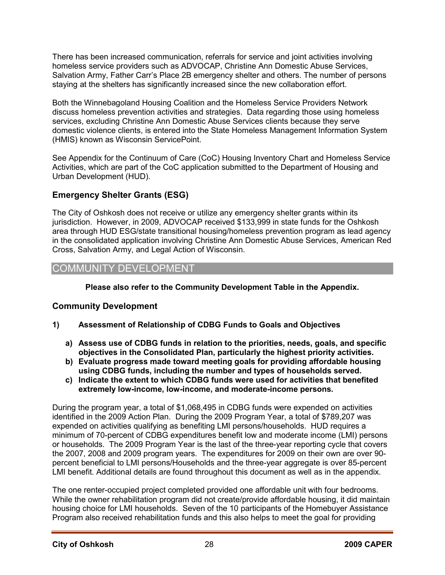There has been increased communication, referrals for service and joint activities involving homeless service providers such as ADVOCAP, Christine Ann Domestic Abuse Services, Salvation Army, Father Carr's Place 2B emergency shelter and others. The number of persons staying at the shelters has significantly increased since the new collaboration effort.

Both the Winnebagoland Housing Coalition and the Homeless Service Providers Network discuss homeless prevention activities and strategies. Data regarding those using homeless services, excluding Christine Ann Domestic Abuse Services clients because they serve domestic violence clients, is entered into the State Homeless Management Information System (HMIS) known as Wisconsin ServicePoint.

See Appendix for the Continuum of Care (CoC) Housing Inventory Chart and Homeless Service Activities, which are part of the CoC application submitted to the Department of Housing and Urban Development (HUD).

### **Emergency Shelter Grants (ESG)**

The City of Oshkosh does not receive or utilize any emergency shelter grants within its jurisdiction. However, in 2009, ADVOCAP received \$133,999 in state funds for the Oshkosh area through HUD ESG/state transitional housing/homeless prevention program as lead agency in the consolidated application involving Christine Ann Domestic Abuse Services, American Red Cross, Salvation Army, and Legal Action of Wisconsin.

## COMMUNITY DEVELOPMENT

### **Please also refer to the Community Development Table in the Appendix.**

### **Community Development**

- **1) Assessment of Relationship of CDBG Funds to Goals and Objectives** 
	- **a) Assess use of CDBG funds in relation to the priorities, needs, goals, and specific objectives in the Consolidated Plan, particularly the highest priority activities.**
	- **b) Evaluate progress made toward meeting goals for providing affordable housing using CDBG funds, including the number and types of households served.**
	- **c) Indicate the extent to which CDBG funds were used for activities that benefited extremely low-income, low-income, and moderate-income persons.**

During the program year, a total of \$1,068,495 in CDBG funds were expended on activities identified in the 2009 Action Plan. During the 2009 Program Year, a total of \$789,207 was expended on activities qualifying as benefiting LMI persons/households. HUD requires a minimum of 70-percent of CDBG expenditures benefit low and moderate income (LMI) persons or households. The 2009 Program Year is the last of the three-year reporting cycle that covers the 2007, 2008 and 2009 program years. The expenditures for 2009 on their own are over 90 percent beneficial to LMI persons/Households and the three-year aggregate is over 85-percent LMI benefit. Additional details are found throughout this document as well as in the appendix.

The one renter-occupied project completed provided one affordable unit with four bedrooms. While the owner rehabilitation program did not create/provide affordable housing, it did maintain housing choice for LMI households. Seven of the 10 participants of the Homebuyer Assistance Program also received rehabilitation funds and this also helps to meet the goal for providing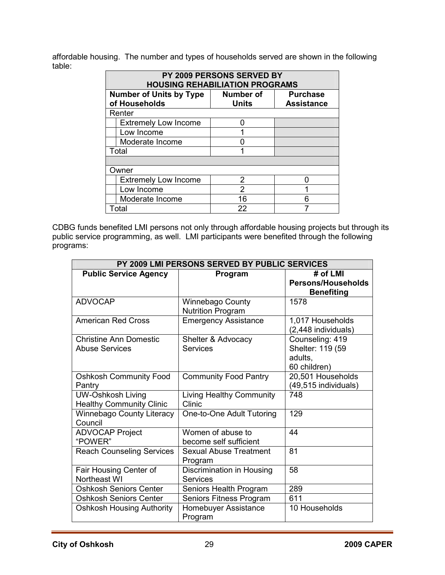affordable housing. The number and types of households served are shown in the following table:

| PY 2009 PERSONS SERVED BY<br><b>HOUSING REHABILIATION PROGRAMS</b> |                                                                                                                             |                |  |  |  |
|--------------------------------------------------------------------|-----------------------------------------------------------------------------------------------------------------------------|----------------|--|--|--|
|                                                                    | <b>Number of Units by Type</b><br><b>Number of</b><br><b>Purchase</b><br>of Households<br><b>Units</b><br><b>Assistance</b> |                |  |  |  |
|                                                                    | Renter                                                                                                                      |                |  |  |  |
|                                                                    | <b>Extremely Low Income</b>                                                                                                 |                |  |  |  |
|                                                                    | Low Income                                                                                                                  |                |  |  |  |
|                                                                    | Moderate Income                                                                                                             |                |  |  |  |
|                                                                    | Total                                                                                                                       |                |  |  |  |
|                                                                    |                                                                                                                             |                |  |  |  |
|                                                                    | Owner                                                                                                                       |                |  |  |  |
|                                                                    | <b>Extremely Low Income</b>                                                                                                 | 2              |  |  |  |
|                                                                    | Low Income                                                                                                                  | $\overline{2}$ |  |  |  |
|                                                                    | Moderate Income                                                                                                             | 16             |  |  |  |
|                                                                    | Total                                                                                                                       | 22             |  |  |  |

CDBG funds benefited LMI persons not only through affordable housing projects but through its public service programming, as well. LMI participants were benefited through the following programs:

| PY 2009 LMI PERSONS SERVED BY PUBLIC SERVICES |                                              |                           |  |  |  |
|-----------------------------------------------|----------------------------------------------|---------------------------|--|--|--|
| <b>Public Service Agency</b>                  | Program                                      | # of LMI                  |  |  |  |
|                                               |                                              | <b>Persons/Households</b> |  |  |  |
|                                               |                                              | <b>Benefiting</b>         |  |  |  |
| <b>ADVOCAP</b>                                | <b>Winnebago County</b>                      | 1578                      |  |  |  |
|                                               | <b>Nutrition Program</b>                     |                           |  |  |  |
| <b>American Red Cross</b>                     | <b>Emergency Assistance</b>                  | 1,017 Households          |  |  |  |
|                                               |                                              | (2,448 individuals)       |  |  |  |
| <b>Christine Ann Domestic</b>                 | Shelter & Advocacy                           | Counseling: 419           |  |  |  |
| <b>Abuse Services</b>                         | <b>Services</b>                              | Shelter: 119 (59          |  |  |  |
|                                               |                                              | adults.                   |  |  |  |
|                                               |                                              | 60 children)              |  |  |  |
| <b>Oshkosh Community Food</b>                 | <b>Community Food Pantry</b>                 | 20,501 Households         |  |  |  |
| Pantry                                        |                                              | (49,515 individuals)      |  |  |  |
| <b>UW-Oshkosh Living</b>                      | <b>Living Healthy Community</b>              | 748                       |  |  |  |
| <b>Healthy Community Clinic</b>               | Clinic                                       |                           |  |  |  |
| <b>Winnebago County Literacy</b>              | One-to-One Adult Tutoring                    | 129                       |  |  |  |
| Council                                       |                                              |                           |  |  |  |
| <b>ADVOCAP Project</b>                        | Women of abuse to                            | 44                        |  |  |  |
| "POWER"                                       | become self sufficient                       |                           |  |  |  |
| <b>Reach Counseling Services</b>              | <b>Sexual Abuse Treatment</b>                | 81                        |  |  |  |
|                                               | Program                                      |                           |  |  |  |
| Fair Housing Center of<br>Northeast WI        | Discrimination in Housing<br><b>Services</b> | 58                        |  |  |  |
|                                               |                                              |                           |  |  |  |
| <b>Oshkosh Seniors Center</b>                 | Seniors Health Program                       | 289                       |  |  |  |
| <b>Oshkosh Seniors Center</b>                 | Seniors Fitness Program                      | 611                       |  |  |  |
| <b>Oshkosh Housing Authority</b>              | Homebuyer Assistance<br>Program              | 10 Households             |  |  |  |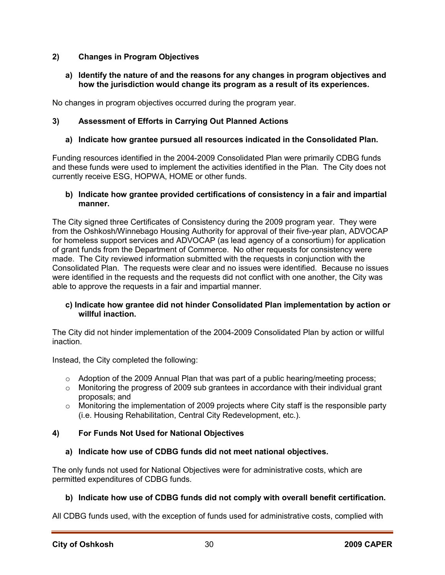### **2) Changes in Program Objectives**

#### **a) Identify the nature of and the reasons for any changes in program objectives and how the jurisdiction would change its program as a result of its experiences.**

No changes in program objectives occurred during the program year.

### **3) Assessment of Efforts in Carrying Out Planned Actions**

### **a) Indicate how grantee pursued all resources indicated in the Consolidated Plan.**

Funding resources identified in the 2004-2009 Consolidated Plan were primarily CDBG funds and these funds were used to implement the activities identified in the Plan. The City does not currently receive ESG, HOPWA, HOME or other funds.

#### **b) Indicate how grantee provided certifications of consistency in a fair and impartial manner.**

The City signed three Certificates of Consistency during the 2009 program year. They were from the Oshkosh/Winnebago Housing Authority for approval of their five-year plan, ADVOCAP for homeless support services and ADVOCAP (as lead agency of a consortium) for application of grant funds from the Department of Commerce. No other requests for consistency were made. The City reviewed information submitted with the requests in conjunction with the Consolidated Plan. The requests were clear and no issues were identified. Because no issues were identified in the requests and the requests did not conflict with one another, the City was able to approve the requests in a fair and impartial manner.

#### **c) Indicate how grantee did not hinder Consolidated Plan implementation by action or willful inaction.**

The City did not hinder implementation of the 2004-2009 Consolidated Plan by action or willful inaction.

Instead, the City completed the following:

- o Adoption of the 2009 Annual Plan that was part of a public hearing/meeting process;
- o Monitoring the progress of 2009 sub grantees in accordance with their individual grant proposals; and
- $\circ$  Monitoring the implementation of 2009 projects where City staff is the responsible party (i.e. Housing Rehabilitation, Central City Redevelopment, etc.).

### **4) For Funds Not Used for National Objectives**

#### **a) Indicate how use of CDBG funds did not meet national objectives.**

The only funds not used for National Objectives were for administrative costs, which are permitted expenditures of CDBG funds.

### **b) Indicate how use of CDBG funds did not comply with overall benefit certification.**

All CDBG funds used, with the exception of funds used for administrative costs, complied with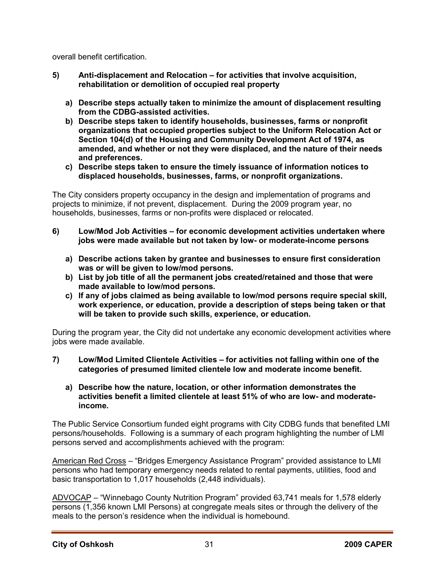overall benefit certification.

- **5) Anti-displacement and Relocation for activities that involve acquisition, rehabilitation or demolition of occupied real property** 
	- **a) Describe steps actually taken to minimize the amount of displacement resulting from the CDBG-assisted activities.**
	- **b) Describe steps taken to identify households, businesses, farms or nonprofit organizations that occupied properties subject to the Uniform Relocation Act or Section 104(d) of the Housing and Community Development Act of 1974, as amended, and whether or not they were displaced, and the nature of their needs and preferences.**
	- **c) Describe steps taken to ensure the timely issuance of information notices to displaced households, businesses, farms, or nonprofit organizations.**

The City considers property occupancy in the design and implementation of programs and projects to minimize, if not prevent, displacement. During the 2009 program year, no households, businesses, farms or non-profits were displaced or relocated.

- **6) Low/Mod Job Activities for economic development activities undertaken where jobs were made available but not taken by low- or moderate-income persons** 
	- **a) Describe actions taken by grantee and businesses to ensure first consideration was or will be given to low/mod persons.**
	- **b) List by job title of all the permanent jobs created/retained and those that were made available to low/mod persons.**
	- **c) If any of jobs claimed as being available to low/mod persons require special skill, work experience, or education, provide a description of steps being taken or that will be taken to provide such skills, experience, or education.**

During the program year, the City did not undertake any economic development activities where jobs were made available.

- **7) Low/Mod Limited Clientele Activities for activities not falling within one of the categories of presumed limited clientele low and moderate income benefit.** 
	- **a) Describe how the nature, location, or other information demonstrates the activities benefit a limited clientele at least 51% of who are low- and moderateincome.**

The Public Service Consortium funded eight programs with City CDBG funds that benefited LMI persons/households. Following is a summary of each program highlighting the number of LMI persons served and accomplishments achieved with the program:

American Red Cross – "Bridges Emergency Assistance Program" provided assistance to LMI persons who had temporary emergency needs related to rental payments, utilities, food and basic transportation to 1,017 households (2,448 individuals).

ADVOCAP – "Winnebago County Nutrition Program" provided 63,741 meals for 1,578 elderly persons (1,356 known LMI Persons) at congregate meals sites or through the delivery of the meals to the person's residence when the individual is homebound.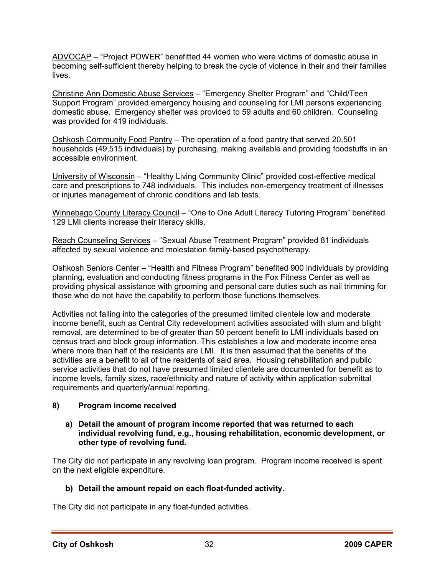ADVOCAP – "Project POWER" benefitted 44 women who were victims of domestic abuse in becoming self-sufficient thereby helping to break the cycle of violence in their and their families lives.

Christine Ann Domestic Abuse Services – "Emergency Shelter Program" and "Child/Teen Support Program" provided emergency housing and counseling for LMI persons experiencing domestic abuse. Emergency shelter was provided to 59 adults and 60 children. Counseling was provided for 419 individuals.

Oshkosh Community Food Pantry – The operation of a food pantry that served 20,501 households (49,515 individuals) by purchasing, making available and providing foodstuffs in an accessible environment.

University of Wisconsin – "Healthy Living Community Clinic" provided cost-effective medical care and prescriptions to 748 individuals. This includes non-emergency treatment of illnesses or injuries management of chronic conditions and lab tests.

Winnebago County Literacy Council – "One to One Adult Literacy Tutoring Program" benefited 129 LMI clients increase their literacy skills.

Reach Counseling Services – "Sexual Abuse Treatment Program" provided 81 individuals affected by sexual violence and molestation family-based psychotherapy.

Oshkosh Seniors Center – "Health and Fitness Program" benefited 900 individuals by providing planning, evaluation and conducting fitness programs in the Fox Fitness Center as well as providing physical assistance with grooming and personal care duties such as nail trimming for those who do not have the capability to perform those functions themselves.

Activities not falling into the categories of the presumed limited clientele low and moderate income benefit, such as Central City redevelopment activities associated with slum and blight removal, are determined to be of greater than 50 percent benefit to LMI individuals based on census tract and block group information. This establishes a low and moderate income area where more than half of the residents are LMI. It is then assumed that the benefits of the activities are a benefit to all of the residents of said area. Housing rehabilitation and public service activities that do not have presumed limited clientele are documented for benefit as to income levels, family sizes, race/ethnicity and nature of activity within application submittal requirements and quarterly/annual reporting.

#### **8) Program income received**

#### **a) Detail the amount of program income reported that was returned to each individual revolving fund, e.g., housing rehabilitation, economic development, or other type of revolving fund.**

The City did not participate in any revolving loan program. Program income received is spent on the next eligible expenditure.

#### **b) Detail the amount repaid on each float-funded activity.**

The City did not participate in any float-funded activities.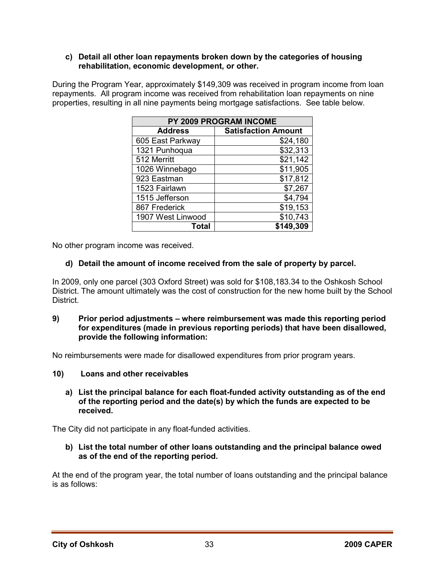#### **c) Detail all other loan repayments broken down by the categories of housing rehabilitation, economic development, or other.**

During the Program Year, approximately \$149,309 was received in program income from loan repayments. All program income was received from rehabilitation loan repayments on nine properties, resulting in all nine payments being mortgage satisfactions. See table below.

| PY 2009 PROGRAM INCOME |                            |  |  |  |
|------------------------|----------------------------|--|--|--|
| <b>Address</b>         | <b>Satisfaction Amount</b> |  |  |  |
| 605 East Parkway       | \$24,180                   |  |  |  |
| 1321 Punhoqua          | \$32,313                   |  |  |  |
| 512 Merritt            | \$21,142                   |  |  |  |
| 1026 Winnebago         | \$11,905                   |  |  |  |
| 923 Eastman            | \$17,812                   |  |  |  |
| 1523 Fairlawn          | \$7,267                    |  |  |  |
| 1515 Jefferson         | \$4,794                    |  |  |  |
| 867 Frederick          | \$19,153                   |  |  |  |
| 1907 West Linwood      | \$10,743                   |  |  |  |
| Total                  | \$149,309                  |  |  |  |

No other program income was received.

### **d) Detail the amount of income received from the sale of property by parcel.**

In 2009, only one parcel (303 Oxford Street) was sold for \$108,183.34 to the Oshkosh School District. The amount ultimately was the cost of construction for the new home built by the School District.

#### **9) Prior period adjustments – where reimbursement was made this reporting period for expenditures (made in previous reporting periods) that have been disallowed, provide the following information:**

No reimbursements were made for disallowed expenditures from prior program years.

- **10) Loans and other receivables** 
	- **a) List the principal balance for each float-funded activity outstanding as of the end of the reporting period and the date(s) by which the funds are expected to be received.**

The City did not participate in any float-funded activities.

**b) List the total number of other loans outstanding and the principal balance owed as of the end of the reporting period.** 

At the end of the program year, the total number of loans outstanding and the principal balance is as follows: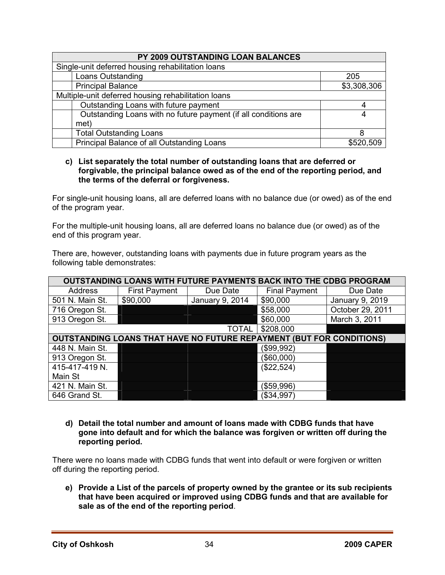| PY 2009 OUTSTANDING LOAN BALANCES                               |             |  |  |  |
|-----------------------------------------------------------------|-------------|--|--|--|
| Single-unit deferred housing rehabilitation loans               |             |  |  |  |
| Loans Outstanding                                               | 205         |  |  |  |
| <b>Principal Balance</b>                                        | \$3,308,306 |  |  |  |
| Multiple-unit deferred housing rehabilitation loans             |             |  |  |  |
| Outstanding Loans with future payment                           |             |  |  |  |
| Outstanding Loans with no future payment (if all conditions are | 4           |  |  |  |
| met)                                                            |             |  |  |  |
| <b>Total Outstanding Loans</b>                                  |             |  |  |  |
| Principal Balance of all Outstanding Loans                      | \$520,509   |  |  |  |

#### **c) List separately the total number of outstanding loans that are deferred or forgivable, the principal balance owed as of the end of the reporting period, and the terms of the deferral or forgiveness.**

For single-unit housing loans, all are deferred loans with no balance due (or owed) as of the end of the program year.

For the multiple-unit housing loans, all are deferred loans no balance due (or owed) as of the end of this program year.

There are, however, outstanding loans with payments due in future program years as the following table demonstrates:

| <b>OUTSTANDING LOANS WITH FUTURE PAYMENTS BACK INTO THE CDBG PROGRAM</b> |                                                                             |                 |                      |                  |  |  |
|--------------------------------------------------------------------------|-----------------------------------------------------------------------------|-----------------|----------------------|------------------|--|--|
| Address                                                                  | <b>First Payment</b>                                                        | Due Date        | <b>Final Payment</b> | Due Date         |  |  |
| 501 N. Main St.                                                          | \$90,000                                                                    | January 9, 2014 | \$90,000             | January 9, 2019  |  |  |
| 716 Oregon St.                                                           |                                                                             |                 | \$58,000             | October 29, 2011 |  |  |
| 913 Oregon St.                                                           |                                                                             |                 | \$60,000             | March 3, 2011    |  |  |
|                                                                          | \$208,000<br><b>TOTAL</b>                                                   |                 |                      |                  |  |  |
|                                                                          | <b>OUTSTANDING LOANS THAT HAVE NO FUTURE REPAYMENT (BUT FOR CONDITIONS)</b> |                 |                      |                  |  |  |
| 448 N. Main St.                                                          |                                                                             |                 | (\$99,992)           |                  |  |  |
| 913 Oregon St.                                                           |                                                                             |                 | (\$60,000)           |                  |  |  |
| 415-417-419 N.                                                           |                                                                             |                 | (\$22,524)           |                  |  |  |
| Main St                                                                  |                                                                             |                 |                      |                  |  |  |
| 421 N. Main St.                                                          |                                                                             |                 | (\$59,996)           |                  |  |  |
| 646 Grand St.                                                            |                                                                             |                 | (\$34,997)           |                  |  |  |

**d) Detail the total number and amount of loans made with CDBG funds that have gone into default and for which the balance was forgiven or written off during the reporting period.** 

There were no loans made with CDBG funds that went into default or were forgiven or written off during the reporting period.

**e) Provide a List of the parcels of property owned by the grantee or its sub recipients that have been acquired or improved using CDBG funds and that are available for sale as of the end of the reporting period**.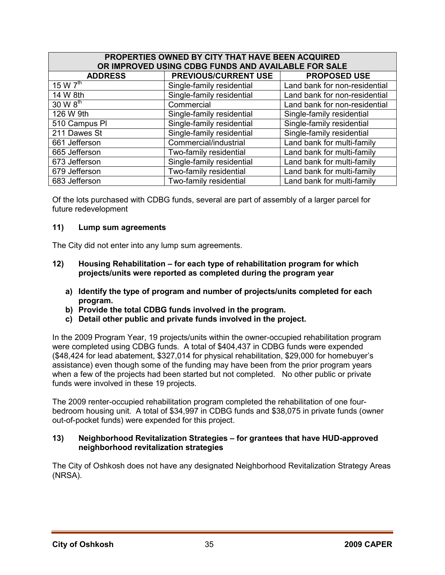| PROPERTIES OWNED BY CITY THAT HAVE BEEN ACQUIRED<br>OR IMPROVED USING CDBG FUNDS AND AVAILABLE FOR SALE |                             |                               |  |  |
|---------------------------------------------------------------------------------------------------------|-----------------------------|-------------------------------|--|--|
| <b>ADDRESS</b>                                                                                          | <b>PREVIOUS/CURRENT USE</b> | <b>PROPOSED USE</b>           |  |  |
| 15 W $7^{\text{th}}$                                                                                    | Single-family residential   | Land bank for non-residential |  |  |
| 14 W 8th                                                                                                | Single-family residential   | Land bank for non-residential |  |  |
| 30 W 8 <sup>th</sup>                                                                                    | Commercial                  | Land bank for non-residential |  |  |
| 126 W 9th                                                                                               | Single-family residential   | Single-family residential     |  |  |
| 510 Campus PI                                                                                           | Single-family residential   | Single-family residential     |  |  |
| 211 Dawes St                                                                                            | Single-family residential   | Single-family residential     |  |  |
| 661 Jefferson                                                                                           | Commercial/industrial       | Land bank for multi-family    |  |  |
| 665 Jefferson                                                                                           | Two-family residential      | Land bank for multi-family    |  |  |
| 673 Jefferson                                                                                           | Single-family residential   | Land bank for multi-family    |  |  |
| 679 Jefferson                                                                                           | Two-family residential      | Land bank for multi-family    |  |  |
| 683 Jefferson                                                                                           | Two-family residential      | Land bank for multi-family    |  |  |

Of the lots purchased with CDBG funds, several are part of assembly of a larger parcel for future redevelopment

#### **11) Lump sum agreements**

The City did not enter into any lump sum agreements.

- **12) Housing Rehabilitation for each type of rehabilitation program for which projects/units were reported as completed during the program year** 
	- **a) Identify the type of program and number of projects/units completed for each program.**
	- **b) Provide the total CDBG funds involved in the program.**
	- **c) Detail other public and private funds involved in the project.**

In the 2009 Program Year, 19 projects/units within the owner-occupied rehabilitation program were completed using CDBG funds. A total of \$404,437 in CDBG funds were expended (\$48,424 for lead abatement, \$327,014 for physical rehabilitation, \$29,000 for homebuyer's assistance) even though some of the funding may have been from the prior program years when a few of the projects had been started but not completed. No other public or private funds were involved in these 19 projects.

The 2009 renter-occupied rehabilitation program completed the rehabilitation of one fourbedroom housing unit. A total of \$34,997 in CDBG funds and \$38,075 in private funds (owner out-of-pocket funds) were expended for this project.

#### **13) Neighborhood Revitalization Strategies – for grantees that have HUD-approved neighborhood revitalization strategies**

The City of Oshkosh does not have any designated Neighborhood Revitalization Strategy Areas (NRSA).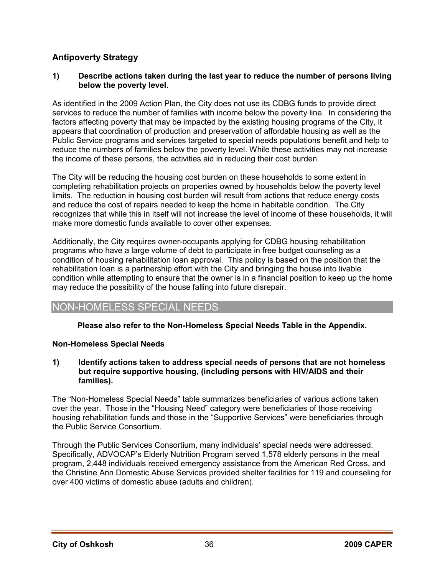### **Antipoverty Strategy**

### **1) Describe actions taken during the last year to reduce the number of persons living below the poverty level.**

As identified in the 2009 Action Plan, the City does not use its CDBG funds to provide direct services to reduce the number of families with income below the poverty line. In considering the factors affecting poverty that may be impacted by the existing housing programs of the City, it appears that coordination of production and preservation of affordable housing as well as the Public Service programs and services targeted to special needs populations benefit and help to reduce the numbers of families below the poverty level. While these activities may not increase the income of these persons, the activities aid in reducing their cost burden.

The City will be reducing the housing cost burden on these households to some extent in completing rehabilitation projects on properties owned by households below the poverty level limits. The reduction in housing cost burden will result from actions that reduce energy costs and reduce the cost of repairs needed to keep the home in habitable condition. The City recognizes that while this in itself will not increase the level of income of these households, it will make more domestic funds available to cover other expenses.

Additionally, the City requires owner-occupants applying for CDBG housing rehabilitation programs who have a large volume of debt to participate in free budget counseling as a condition of housing rehabilitation loan approval. This policy is based on the position that the rehabilitation loan is a partnership effort with the City and bringing the house into livable condition while attempting to ensure that the owner is in a financial position to keep up the home may reduce the possibility of the house falling into future disrepair.

### NON-HOMELESS SPECIAL NEEDS

### **Please also refer to the Non-Homeless Special Needs Table in the Appendix.**

### **Non-Homeless Special Needs**

#### **1) Identify actions taken to address special needs of persons that are not homeless but require supportive housing, (including persons with HIV/AIDS and their families).**

The "Non-Homeless Special Needs" table summarizes beneficiaries of various actions taken over the year. Those in the "Housing Need" category were beneficiaries of those receiving housing rehabilitation funds and those in the "Supportive Services" were beneficiaries through the Public Service Consortium.

Through the Public Services Consortium, many individuals' special needs were addressed. Specifically, ADVOCAP's Elderly Nutrition Program served 1,578 elderly persons in the meal program, 2,448 individuals received emergency assistance from the American Red Cross, and the Christine Ann Domestic Abuse Services provided shelter facilities for 119 and counseling for over 400 victims of domestic abuse (adults and children).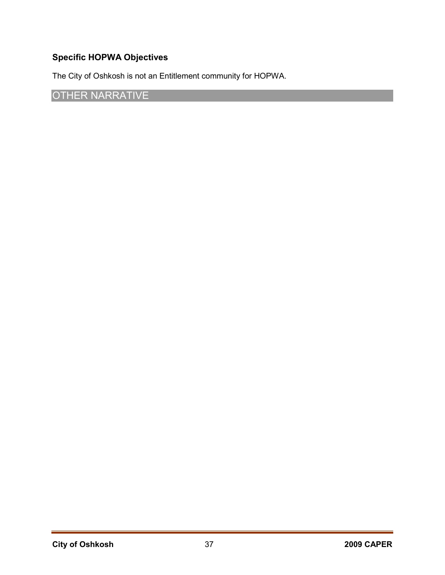# **Specific HOPWA Objectives**

The City of Oshkosh is not an Entitlement community for HOPWA.

# OTHER NARRATIVE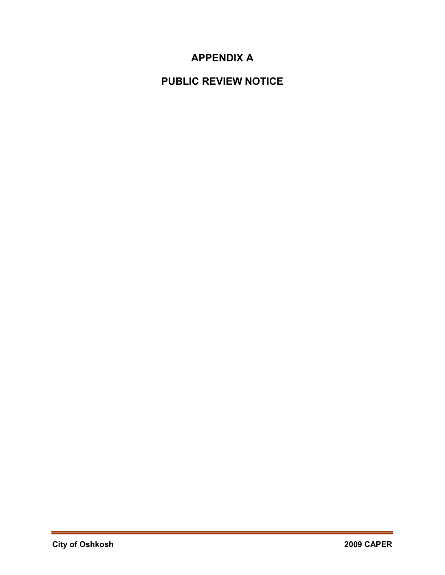# **APPENDIX A**

# **PUBLIC REVIEW NOTICE**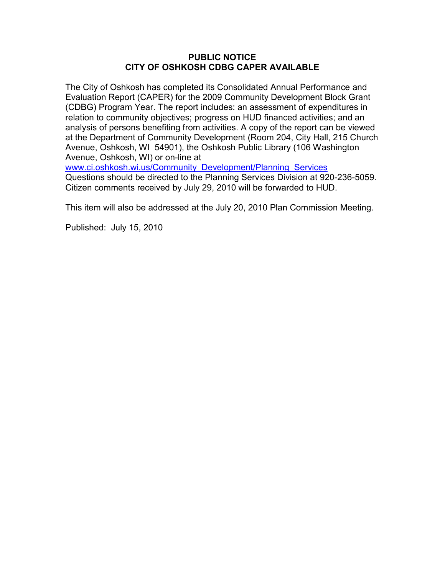#### **PUBLIC NOTICE CITY OF OSHKOSH CDBG CAPER AVAILABLE**

The City of Oshkosh has completed its Consolidated Annual Performance and Evaluation Report (CAPER) for the 2009 Community Development Block Grant (CDBG) Program Year. The report includes: an assessment of expenditures in relation to community objectives; progress on HUD financed activities; and an analysis of persons benefiting from activities. A copy of the report can be viewed at the Department of Community Development (Room 204, City Hall, 215 Church Avenue, Oshkosh, WI 54901), the Oshkosh Public Library (106 Washington Avenue, Oshkosh, WI) or on-line at

www.ci.oshkosh.wi.us/Community\_Development/Planning\_Services Questions should be directed to the Planning Services Division at 920-236-5059. Citizen comments received by July 29, 2010 will be forwarded to HUD.

This item will also be addressed at the July 20, 2010 Plan Commission Meeting.

Published: July 15, 2010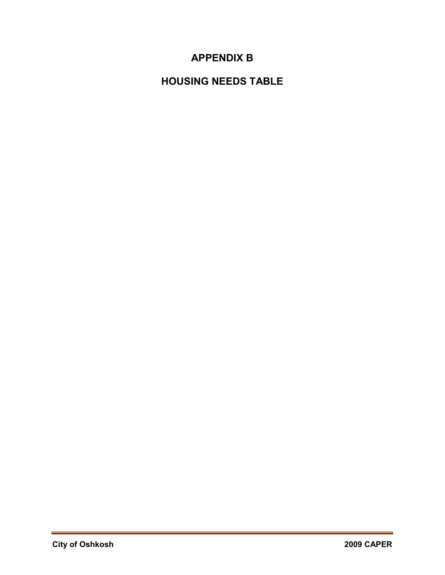# **APPENDIX B**

# **HOUSING NEEDS TABLE**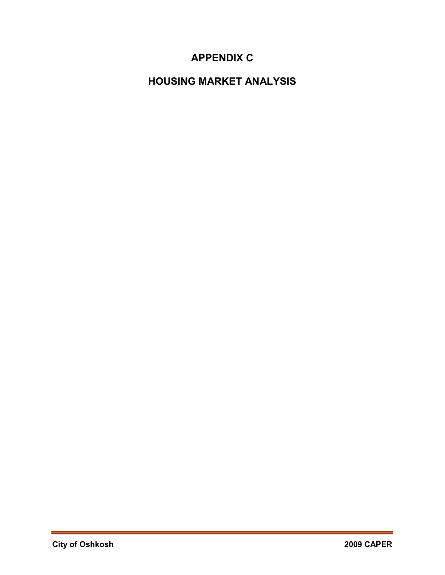# **APPENDIX C**

# **HOUSING MARKET ANALYSIS**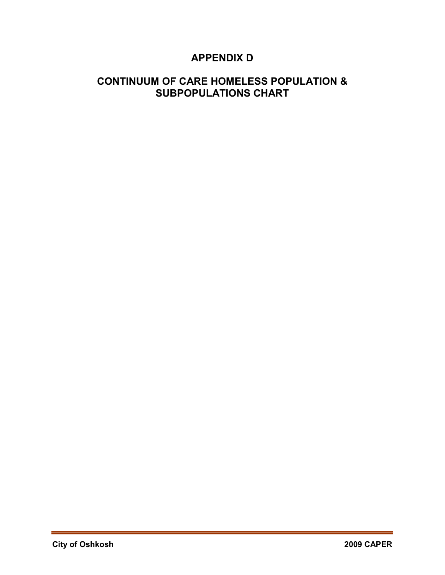# **APPENDIX D**

# **CONTINUUM OF CARE HOMELESS POPULATION & SUBPOPULATIONS CHART**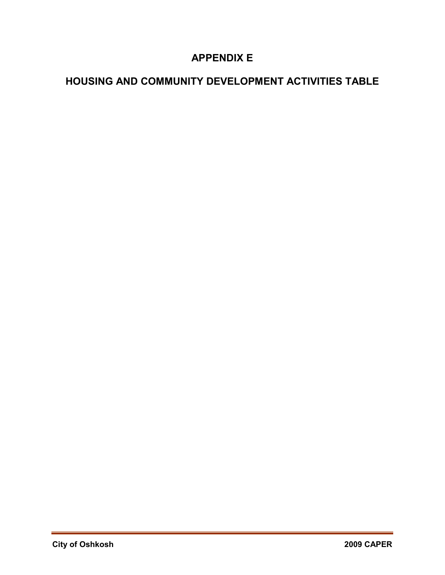# **APPENDIX E**

# **HOUSING AND COMMUNITY DEVELOPMENT ACTIVITIES TABLE**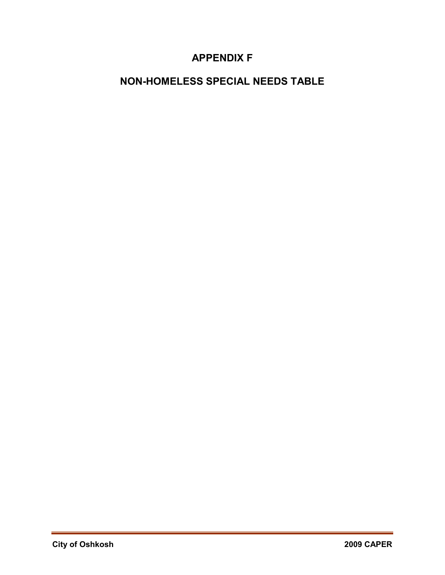# **APPENDIX F**

# **NON-HOMELESS SPECIAL NEEDS TABLE**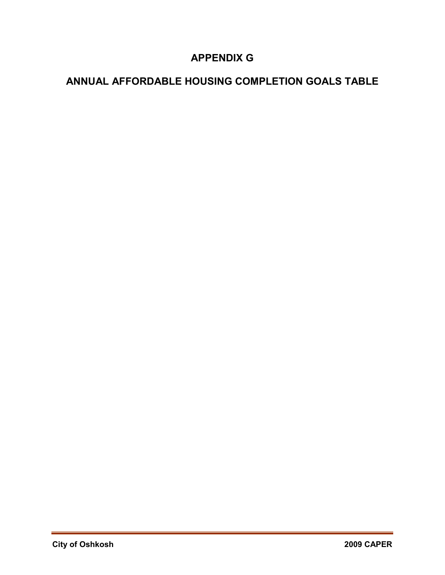# **APPENDIX G**

# **ANNUAL AFFORDABLE HOUSING COMPLETION GOALS TABLE**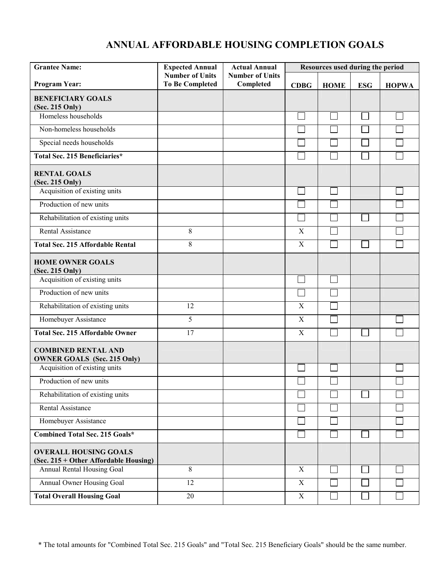# **ANNUAL AFFORDABLE HOUSING COMPLETION GOALS**

| <b>Grantee Name:</b>                                                  | <b>Expected Annual</b>                           | <b>Actual Annual</b>                |             | Resources used during the period |            |              |  |
|-----------------------------------------------------------------------|--------------------------------------------------|-------------------------------------|-------------|----------------------------------|------------|--------------|--|
| <b>Program Year:</b>                                                  | <b>Number of Units</b><br><b>To Be Completed</b> | <b>Number of Units</b><br>Completed | <b>CDBG</b> | <b>HOME</b>                      | <b>ESG</b> | <b>HOPWA</b> |  |
| <b>BENEFICIARY GOALS</b><br>(Sec. 215 Only)                           |                                                  |                                     |             |                                  |            |              |  |
| Homeless households                                                   |                                                  |                                     |             |                                  |            |              |  |
| Non-homeless households                                               |                                                  |                                     |             |                                  |            |              |  |
| Special needs households                                              |                                                  |                                     |             |                                  |            |              |  |
| Total Sec. 215 Beneficiaries*                                         |                                                  |                                     |             |                                  |            |              |  |
| <b>RENTAL GOALS</b><br>(Sec. 215 Only)                                |                                                  |                                     |             |                                  |            |              |  |
| Acquisition of existing units                                         |                                                  |                                     |             |                                  |            |              |  |
| Production of new units                                               |                                                  |                                     |             |                                  |            |              |  |
| Rehabilitation of existing units                                      |                                                  |                                     |             |                                  |            |              |  |
| Rental Assistance                                                     | $\,8\,$                                          |                                     | $\mathbf X$ |                                  |            |              |  |
| <b>Total Sec. 215 Affordable Rental</b>                               | 8                                                |                                     | $\mathbf X$ |                                  |            |              |  |
| <b>HOME OWNER GOALS</b><br>(Sec. 215 Only)                            |                                                  |                                     |             |                                  |            |              |  |
| Acquisition of existing units                                         |                                                  |                                     |             |                                  |            |              |  |
| Production of new units                                               |                                                  |                                     |             |                                  |            |              |  |
| Rehabilitation of existing units                                      | 12                                               |                                     | $\mathbf X$ |                                  |            |              |  |
| Homebuyer Assistance                                                  | 5                                                |                                     | $\mathbf X$ |                                  |            |              |  |
| <b>Total Sec. 215 Affordable Owner</b>                                | 17                                               |                                     | $\mathbf X$ |                                  |            |              |  |
| <b>COMBINED RENTAL AND</b><br><b>OWNER GOALS</b> (Sec. 215 Only)      |                                                  |                                     |             |                                  |            |              |  |
| Acquisition of existing units                                         |                                                  |                                     |             |                                  |            |              |  |
| Production of new units                                               |                                                  |                                     |             |                                  |            |              |  |
| Rehabilitation of existing units                                      |                                                  |                                     |             |                                  |            |              |  |
| Rental Assistance                                                     |                                                  |                                     |             |                                  |            |              |  |
| Homebuyer Assistance                                                  |                                                  |                                     |             |                                  |            |              |  |
| Combined Total Sec. 215 Goals*                                        |                                                  |                                     |             |                                  |            |              |  |
| <b>OVERALL HOUSING GOALS</b><br>(Sec. 215 + Other Affordable Housing) |                                                  |                                     |             |                                  |            |              |  |
| Annual Rental Housing Goal                                            | 8                                                |                                     | X           |                                  |            |              |  |
| Annual Owner Housing Goal                                             | 12                                               |                                     | X           |                                  |            |              |  |
| <b>Total Overall Housing Goal</b>                                     | 20                                               |                                     | $\mathbf X$ |                                  |            |              |  |

\* The total amounts for "Combined Total Sec. 215 Goals" and "Total Sec. 215 Beneficiary Goals" should be the same number.